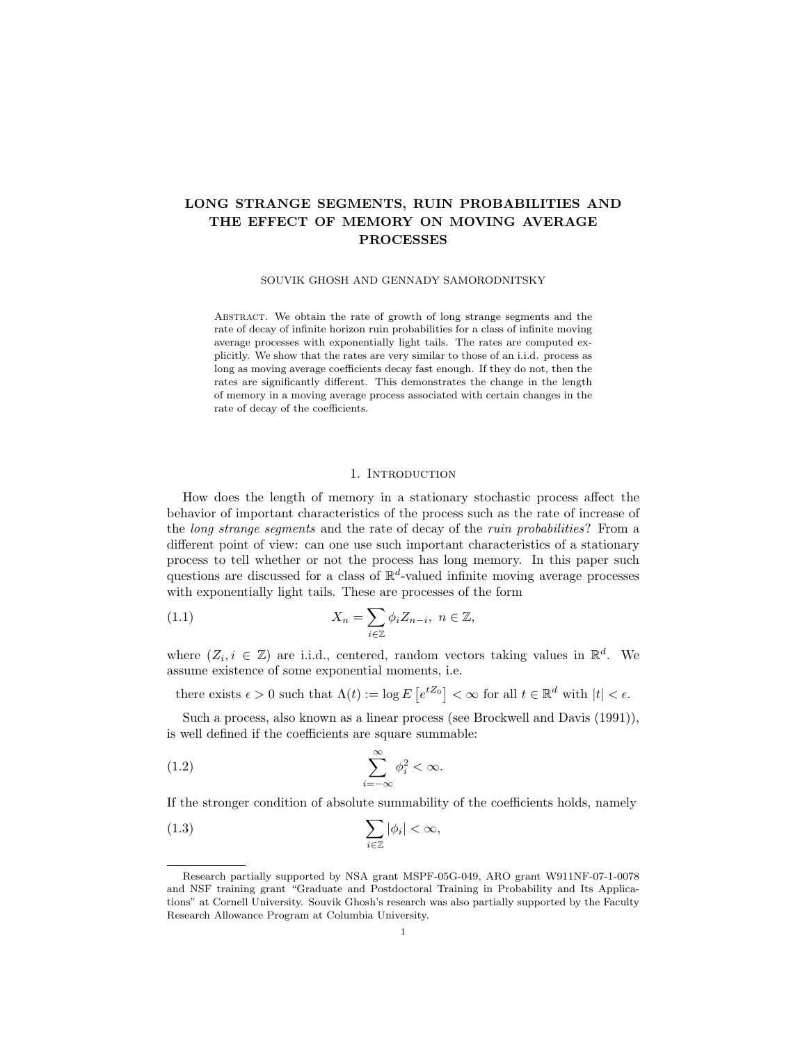# LONG STRANGE SEGMENTS, RUIN PROBABILITIES AND THE EFFECT OF MEMORY ON MOVING AVERAGE PROCESSES

#### SOUVIK GHOSH AND GENNADY SAMORODNITSKY

Abstract. We obtain the rate of growth of long strange segments and the rate of decay of infinite horizon ruin probabilities for a class of infinite moving average processes with exponentially light tails. The rates are computed explicitly. We show that the rates are very similar to those of an i.i.d. process as long as moving average coefficients decay fast enough. If they do not, then the rates are significantly different. This demonstrates the change in the length of memory in a moving average process associated with certain changes in the rate of decay of the coefficients.

## 1. INTRODUCTION

How does the length of memory in a stationary stochastic process affect the behavior of important characteristics of the process such as the rate of increase of the long strange segments and the rate of decay of the ruin probabilities? From a different point of view: can one use such important characteristics of a stationary process to tell whether or not the process has long memory. In this paper such questions are discussed for a class of  $\mathbb{R}^d$ -valued infinite moving average processes with exponentially light tails. These are processes of the form

(1.1) 
$$
X_n = \sum_{i \in \mathbb{Z}} \phi_i Z_{n-i}, \ n \in \mathbb{Z},
$$

where  $(Z_i, i \in \mathbb{Z})$  are i.i.d., centered, random vectors taking values in  $\mathbb{R}^d$ . We assume existence of some exponential moments, i.e.

there exists  $\epsilon > 0$  such that  $\Lambda(t) := \log E \left[ e^{tZ_0} \right] < \infty$  for all  $t \in \mathbb{R}^d$  with  $|t| < \epsilon$ .

Such a process, also known as a linear process (see Brockwell and Davis (1991)), is well defined if the coefficients are square summable:

(1.2) 
$$
\sum_{i=-\infty}^{\infty} \phi_i^2 < \infty.
$$

If the stronger condition of absolute summability of the coefficients holds, namely

(1.3) 
$$
\sum_{i\in\mathbb{Z}}|\phi_i|<\infty,
$$

Research partially supported by NSA grant MSPF-05G-049, ARO grant W911NF-07-1-0078 and NSF training grant "Graduate and Postdoctoral Training in Probability and Its Applications" at Cornell University. Souvik Ghosh's research was also partially supported by the Faculty Research Allowance Program at Columbia University.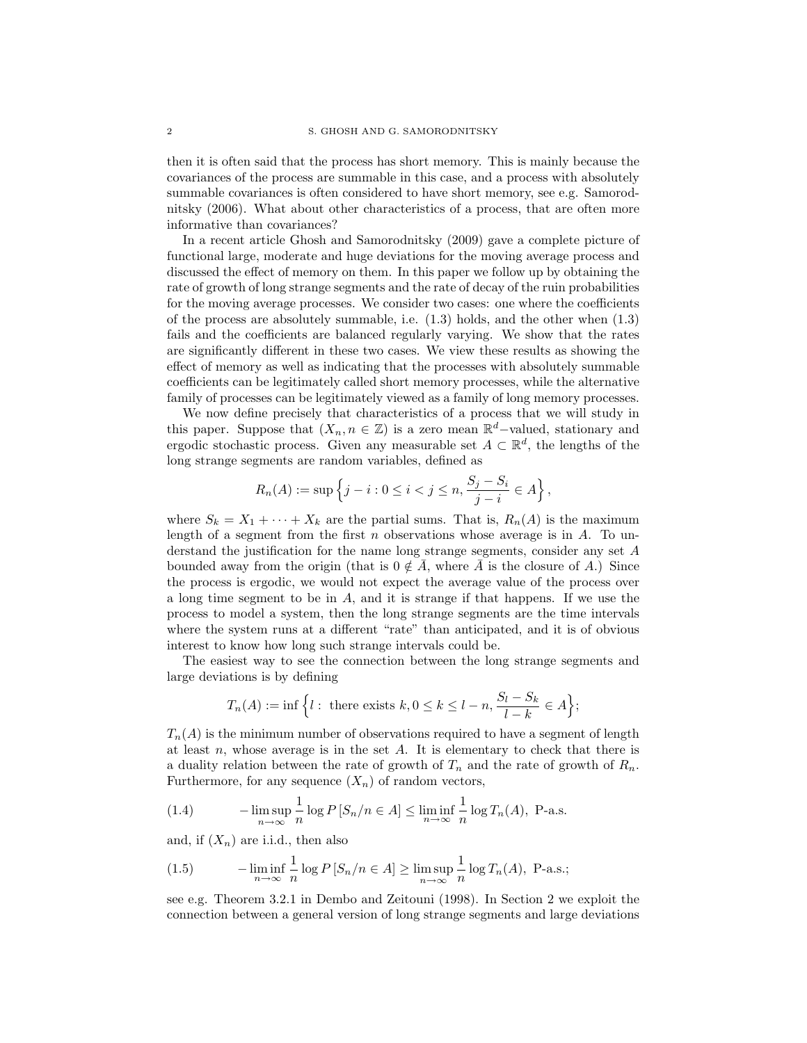then it is often said that the process has short memory. This is mainly because the covariances of the process are summable in this case, and a process with absolutely summable covariances is often considered to have short memory, see e.g. Samorodnitsky (2006). What about other characteristics of a process, that are often more informative than covariances?

In a recent article Ghosh and Samorodnitsky (2009) gave a complete picture of functional large, moderate and huge deviations for the moving average process and discussed the effect of memory on them. In this paper we follow up by obtaining the rate of growth of long strange segments and the rate of decay of the ruin probabilities for the moving average processes. We consider two cases: one where the coefficients of the process are absolutely summable, i.e.  $(1.3)$  holds, and the other when  $(1.3)$ fails and the coefficients are balanced regularly varying. We show that the rates are significantly different in these two cases. We view these results as showing the effect of memory as well as indicating that the processes with absolutely summable coefficients can be legitimately called short memory processes, while the alternative family of processes can be legitimately viewed as a family of long memory processes.

We now define precisely that characteristics of a process that we will study in this paper. Suppose that  $(X_n, n \in \mathbb{Z})$  is a zero mean  $\mathbb{R}^d$ -valued, stationary and ergodic stochastic process. Given any measurable set  $A \subset \mathbb{R}^d$ , the lengths of the long strange segments are random variables, defined as

$$
R_n(A) := \sup \left\{ j - i : 0 \le i < j \le n, \frac{S_j - S_i}{j - i} \in A \right\},\
$$

where  $S_k = X_1 + \cdots + X_k$  are the partial sums. That is,  $R_n(A)$  is the maximum length of a segment from the first  $n$  observations whose average is in  $A$ . To understand the justification for the name long strange segments, consider any set A bounded away from the origin (that is  $0 \notin \overline{A}$ , where  $\overline{A}$  is the closure of A.) Since the process is ergodic, we would not expect the average value of the process over a long time segment to be in A, and it is strange if that happens. If we use the process to model a system, then the long strange segments are the time intervals where the system runs at a different "rate" than anticipated, and it is of obvious interest to know how long such strange intervals could be.

The easiest way to see the connection between the long strange segments and large deviations is by defining

$$
T_n(A) := \inf \left\{ l : \text{ there exists } k, 0 \le k \le l - n, \frac{S_l - S_k}{l - k} \in A \right\};
$$

 $T_n(A)$  is the minimum number of observations required to have a segment of length at least  $n$ , whose average is in the set  $A$ . It is elementary to check that there is a duality relation between the rate of growth of  $T_n$  and the rate of growth of  $R_n$ . Furthermore, for any sequence  $(X_n)$  of random vectors,

(1.4) 
$$
-\limsup_{n\to\infty}\frac{1}{n}\log P[S_n/n \in A] \le \liminf_{n\to\infty}\frac{1}{n}\log T_n(A), \text{ P-a.s.}
$$

and, if  $(X_n)$  are i.i.d., then also

(1.5) 
$$
-\liminf_{n \to \infty} \frac{1}{n} \log P[S_n/n \in A] \ge \limsup_{n \to \infty} \frac{1}{n} \log T_n(A), \text{ P-a.s.};
$$

see e.g. Theorem 3.2.1 in Dembo and Zeitouni (1998). In Section 2 we exploit the connection between a general version of long strange segments and large deviations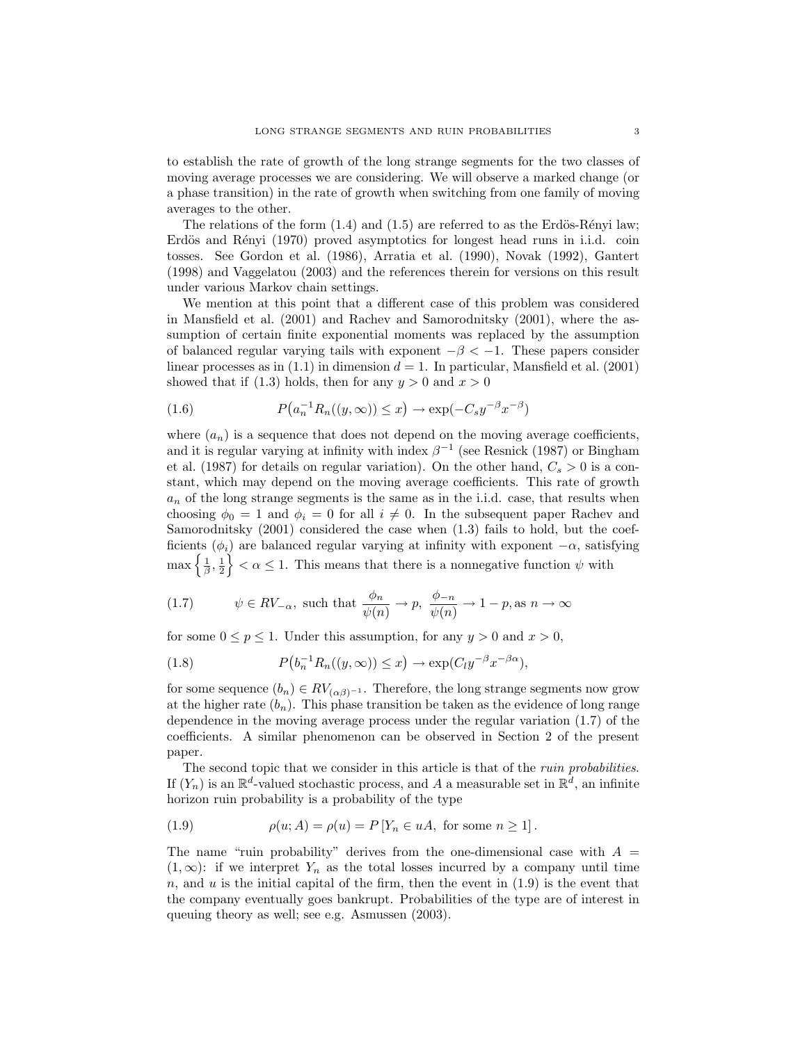to establish the rate of growth of the long strange segments for the two classes of moving average processes we are considering. We will observe a marked change (or a phase transition) in the rate of growth when switching from one family of moving averages to the other.

The relations of the form  $(1.4)$  and  $(1.5)$  are referred to as the Erdös-Rényi law; Erdös and Rényi (1970) proved asymptotics for longest head runs in i.i.d. coin tosses. See Gordon et al. (1986), Arratia et al. (1990), Novak (1992), Gantert (1998) and Vaggelatou (2003) and the references therein for versions on this result under various Markov chain settings.

We mention at this point that a different case of this problem was considered in Mansfield et al. (2001) and Rachev and Samorodnitsky (2001), where the assumption of certain finite exponential moments was replaced by the assumption of balanced regular varying tails with exponent  $-\beta < -1$ . These papers consider linear processes as in  $(1.1)$  in dimension  $d = 1$ . In particular, Mansfield et al.  $(2001)$ showed that if (1.3) holds, then for any  $y > 0$  and  $x > 0$ 

(1.6) 
$$
P\big(a_n^{-1}R_n((y,\infty))\leq x\big)\to \exp(-C_sy^{-\beta}x^{-\beta})
$$

where  $(a_n)$  is a sequence that does not depend on the moving average coefficients, and it is regular varying at infinity with index  $\beta^{-1}$  (see Resnick (1987) or Bingham et al. (1987) for details on regular variation). On the other hand,  $C_s > 0$  is a constant, which may depend on the moving average coefficients. This rate of growth  $a_n$  of the long strange segments is the same as in the i.i.d. case, that results when choosing  $\phi_0 = 1$  and  $\phi_i = 0$  for all  $i \neq 0$ . In the subsequent paper Rachev and Samorodnitsky (2001) considered the case when (1.3) fails to hold, but the coefficients  $(\phi_i)$  are balanced regular varying at infinity with exponent  $-\alpha$ , satisfying  $\max\left\{\frac{1}{\beta},\frac{1}{2}\right\} < \alpha \leq 1$ . This means that there is a nonnegative function  $\psi$  with

(1.7) 
$$
\psi \in RV_{-\alpha}
$$
, such that  $\frac{\phi_n}{\psi(n)} \to p$ ,  $\frac{\phi_{-n}}{\psi(n)} \to 1 - p$ , as  $n \to \infty$ 

for some  $0 \le p \le 1$ . Under this assumption, for any  $y > 0$  and  $x > 0$ ,

(1.8) 
$$
P(b_n^{-1}R_n((y,\infty)) \leq x) \to \exp(C_l y^{-\beta} x^{-\beta \alpha}),
$$

for some sequence  $(b_n) \in RV_{(\alpha\beta)^{-1}}$ . Therefore, the long strange segments now grow at the higher rate  $(b_n)$ . This phase transition be taken as the evidence of long range dependence in the moving average process under the regular variation (1.7) of the coefficients. A similar phenomenon can be observed in Section 2 of the present paper.

The second topic that we consider in this article is that of the *ruin probabilities*. If  $(Y_n)$  is an  $\mathbb{R}^d$ -valued stochastic process, and A a measurable set in  $\mathbb{R}^d$ , an infinite horizon ruin probability is a probability of the type

(1.9) 
$$
\rho(u; A) = \rho(u) = P[Y_n \in uA, \text{ for some } n \ge 1].
$$

The name "ruin probability" derives from the one-dimensional case with  $A =$  $(1, \infty)$ : if we interpret  $Y_n$  as the total losses incurred by a company until time  $n$ , and  $u$  is the initial capital of the firm, then the event in  $(1.9)$  is the event that the company eventually goes bankrupt. Probabilities of the type are of interest in queuing theory as well; see e.g. Asmussen (2003).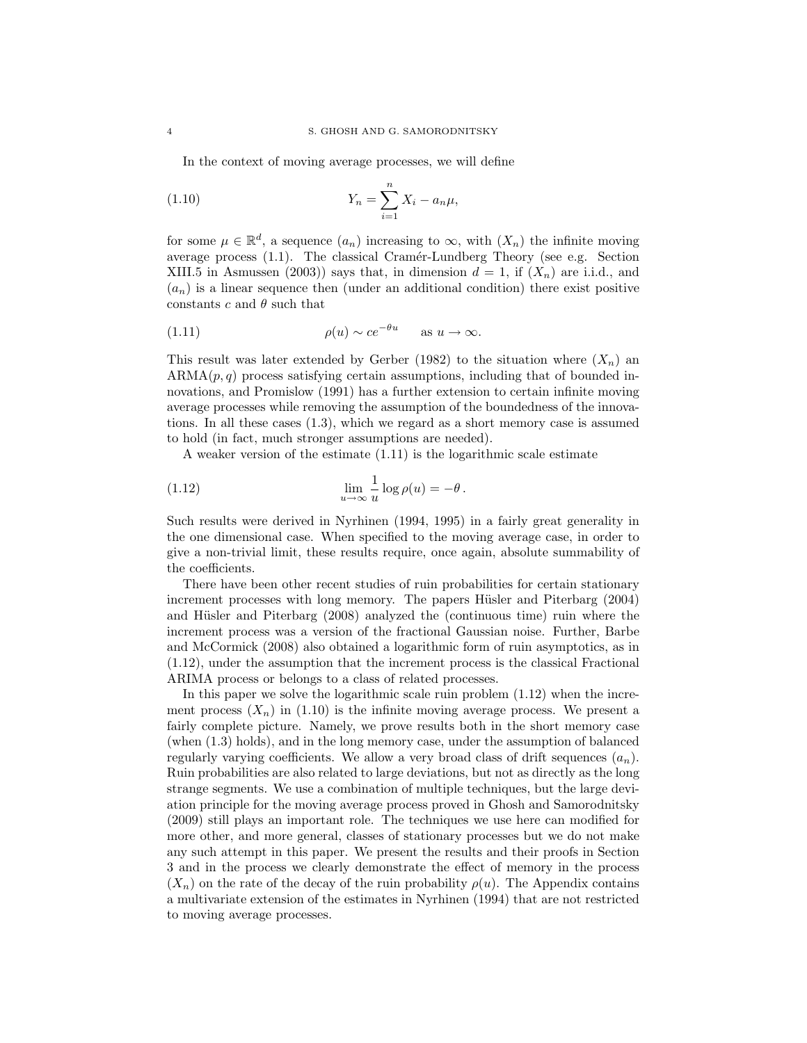In the context of moving average processes, we will define

(1.10) 
$$
Y_n = \sum_{i=1}^n X_i - a_n \mu,
$$

for some  $\mu \in \mathbb{R}^d$ , a sequence  $(a_n)$  increasing to  $\infty$ , with  $(X_n)$  the infinite moving average process (1.1). The classical Cramér-Lundberg Theory (see e.g. Section XIII.5 in Asmussen (2003)) says that, in dimension  $d = 1$ , if  $(X_n)$  are i.i.d., and  $(a_n)$  is a linear sequence then (under an additional condition) there exist positive constants  $c$  and  $\theta$  such that

(1.11) 
$$
\rho(u) \sim ce^{-\theta u} \quad \text{as } u \to \infty.
$$

This result was later extended by Gerber (1982) to the situation where  $(X_n)$  and  $ARMA(p, q)$  process satisfying certain assumptions, including that of bounded innovations, and Promislow (1991) has a further extension to certain infinite moving average processes while removing the assumption of the boundedness of the innovations. In all these cases (1.3), which we regard as a short memory case is assumed to hold (in fact, much stronger assumptions are needed).

A weaker version of the estimate (1.11) is the logarithmic scale estimate

(1.12) 
$$
\lim_{u \to \infty} \frac{1}{u} \log \rho(u) = -\theta.
$$

Such results were derived in Nyrhinen (1994, 1995) in a fairly great generality in the one dimensional case. When specified to the moving average case, in order to give a non-trivial limit, these results require, once again, absolute summability of the coefficients.

There have been other recent studies of ruin probabilities for certain stationary increment processes with long memory. The papers Hüsler and Piterbarg (2004) and Hüsler and Piterbarg (2008) analyzed the (continuous time) ruin where the increment process was a version of the fractional Gaussian noise. Further, Barbe and McCormick (2008) also obtained a logarithmic form of ruin asymptotics, as in (1.12), under the assumption that the increment process is the classical Fractional ARIMA process or belongs to a class of related processes.

In this paper we solve the logarithmic scale ruin problem (1.12) when the increment process  $(X_n)$  in (1.10) is the infinite moving average process. We present a fairly complete picture. Namely, we prove results both in the short memory case (when (1.3) holds), and in the long memory case, under the assumption of balanced regularly varying coefficients. We allow a very broad class of drift sequences  $(a_n)$ . Ruin probabilities are also related to large deviations, but not as directly as the long strange segments. We use a combination of multiple techniques, but the large deviation principle for the moving average process proved in Ghosh and Samorodnitsky (2009) still plays an important role. The techniques we use here can modified for more other, and more general, classes of stationary processes but we do not make any such attempt in this paper. We present the results and their proofs in Section 3 and in the process we clearly demonstrate the effect of memory in the process  $(X_n)$  on the rate of the decay of the ruin probability  $\rho(u)$ . The Appendix contains a multivariate extension of the estimates in Nyrhinen (1994) that are not restricted to moving average processes.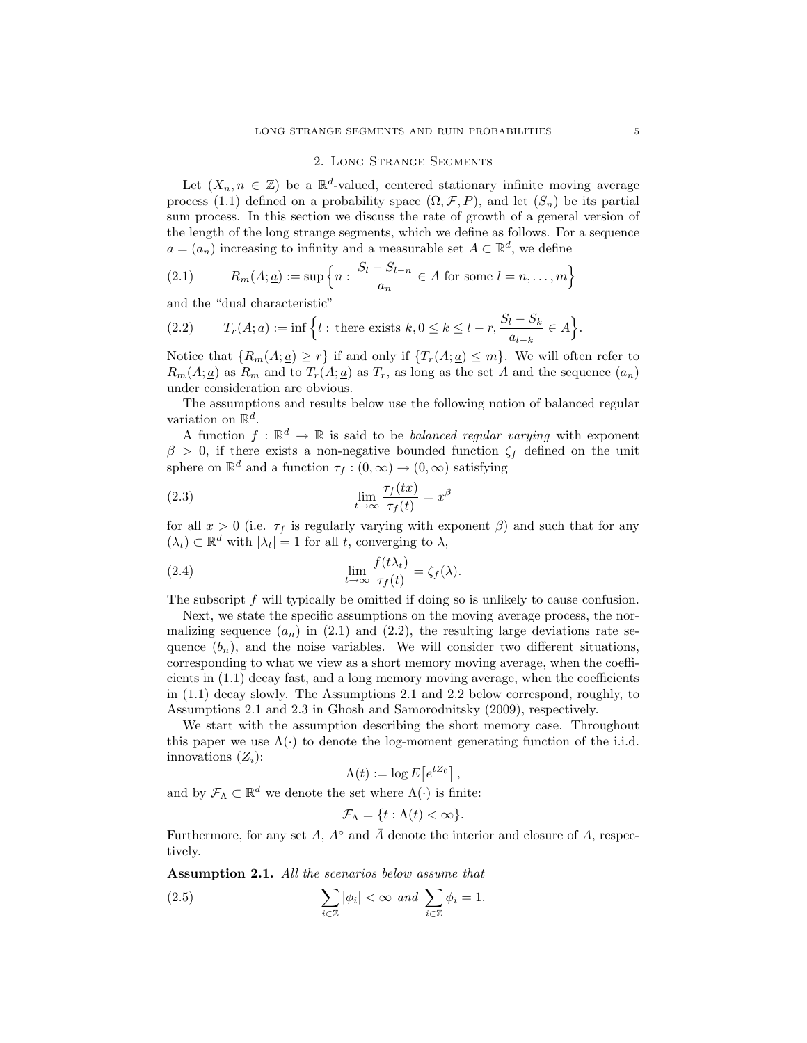#### 2. Long Strange Segments

Let  $(X_n, n \in \mathbb{Z})$  be a  $\mathbb{R}^d$ -valued, centered stationary infinite moving average process (1.1) defined on a probability space  $(\Omega, \mathcal{F}, P)$ , and let  $(S_n)$  be its partial sum process. In this section we discuss the rate of growth of a general version of the length of the long strange segments, which we define as follows. For a sequence  $\underline{a} = (a_n)$  increasing to infinity and a measurable set  $A \subset \mathbb{R}^d$ , we define

(2.1) 
$$
R_m(A; \underline{a}) := \sup \left\{ n : \frac{S_l - S_{l-n}}{a_n} \in A \text{ for some } l = n, \dots, m \right\}
$$

and the "dual characteristic"

(2.2) 
$$
T_r(A; \underline{a}) := \inf \left\{ l : \text{there exists } k, 0 \le k \le l - r, \frac{S_l - S_k}{a_{l-k}} \in A \right\}.
$$

Notice that  ${R_m(A; a) \geq r}$  if and only if  ${T_r(A; a) \leq m}$ . We will often refer to  $R_m(A; \underline{a})$  as  $R_m$  and to  $T_r(A; \underline{a})$  as  $T_r$ , as long as the set A and the sequence  $(a_n)$ under consideration are obvious.

The assumptions and results below use the following notion of balanced regular variation on  $\mathbb{R}^d$ .

A function  $f : \mathbb{R}^d \to \mathbb{R}$  is said to be *balanced regular varying* with exponent  $\beta > 0$ , if there exists a non-negative bounded function  $\zeta_f$  defined on the unit sphere on  $\mathbb{R}^d$  and a function  $\tau_f : (0, \infty) \to (0, \infty)$  satisfying

(2.3) 
$$
\lim_{t \to \infty} \frac{\tau_f(tx)}{\tau_f(t)} = x^{\beta}
$$

for all  $x > 0$  (i.e.  $\tau_f$  is regularly varying with exponent  $\beta$ ) and such that for any  $(\lambda_t) \subset \mathbb{R}^d$  with  $|\lambda_t| = 1$  for all t, converging to  $\lambda$ ,

(2.4) 
$$
\lim_{t \to \infty} \frac{f(t\lambda_t)}{\tau_f(t)} = \zeta_f(\lambda).
$$

The subscript f will typically be omitted if doing so is unlikely to cause confusion.

Next, we state the specific assumptions on the moving average process, the normalizing sequence  $(a_n)$  in (2.1) and (2.2), the resulting large deviations rate sequence  $(b_n)$ , and the noise variables. We will consider two different situations, corresponding to what we view as a short memory moving average, when the coefficients in (1.1) decay fast, and a long memory moving average, when the coefficients in (1.1) decay slowly. The Assumptions 2.1 and 2.2 below correspond, roughly, to Assumptions 2.1 and 2.3 in Ghosh and Samorodnitsky (2009), respectively.

We start with the assumption describing the short memory case. Throughout this paper we use  $\Lambda(\cdot)$  to denote the log-moment generating function of the i.i.d. innovations  $(Z_i)$ :

$$
\Lambda(t) := \log E\left[e^{tZ_0}\right],
$$

and by  $\mathcal{F}_{\Lambda} \subset \mathbb{R}^d$  we denote the set where  $\Lambda(\cdot)$  is finite:

$$
\mathcal{F}_{\Lambda} = \{ t : \Lambda(t) < \infty \}.
$$

Furthermore, for any set A,  $A^{\circ}$  and  $\overline{A}$  denote the interior and closure of A, respectively.

Assumption 2.1. All the scenarios below assume that

(2.5) 
$$
\sum_{i\in\mathbb{Z}}|\phi_i| < \infty \text{ and } \sum_{i\in\mathbb{Z}}\phi_i = 1.
$$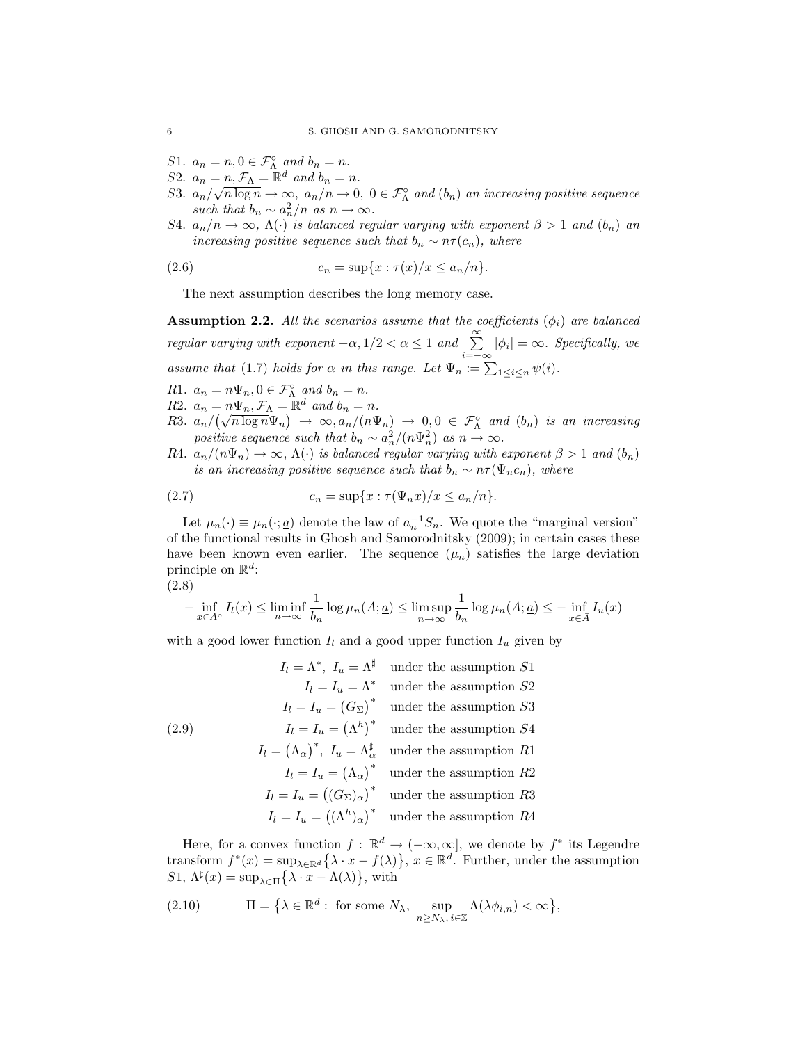- S1.  $a_n = n, 0 \in \mathcal{F}_{\Lambda}^{\circ}$  and  $b_n = n$ .
- S2.  $a_n = n, \mathcal{F}_\Lambda = \mathbb{R}^d$  and  $b_n = n$ .
- S3.  $a_n/\sqrt{n \log n} \to \infty$ ,  $a_n/n \to 0$ ,  $0 \in \mathcal{F}_{\Lambda}^{\circ}$  and  $(b_n)$  an increasing positive sequence such that  $b_n \sim a_n^2/n$  as  $n \to \infty$ .
- S4.  $a_n/n \to \infty$ ,  $\Lambda(\cdot)$  is balanced regular varying with exponent  $\beta > 1$  and  $(b_n)$  and increasing positive sequence such that  $b_n \sim n \tau(c_n)$ , where

$$
(2.6) \t\t\t c_n = \sup\{x : \tau(x)/x \le a_n/n\}.
$$

The next assumption describes the long memory case.

**Assumption 2.2.** All the scenarios assume that the coefficients  $(\phi_i)$  are balanced regular varying with exponent  $-\alpha$ ,  $1/2 < \alpha \leq 1$  and  $\sum_{n=1}^{\infty}$  $\sum_{i=-\infty} |\phi_i| = \infty$ . Specifically, we assume that (1.7) holds for  $\alpha$  in this range. Let  $\Psi_n := \sum_{1 \leq i \leq n} \psi(i)$ .

- R1.  $a_n = n\Psi_n, 0 \in \mathcal{F}_\Lambda^\circ$  and  $b_n = n$ .
- R2.  $a_n = n\Psi_n$ ,  $\mathcal{F}_{\Lambda} = \mathbb{R}^d$  and  $b_n = n$ .
- $R_1R_2$ .  $a_n = n \Psi_n$ ,  $\chi_\Lambda = \mathbb{R}^n$  and  $b_n = n$ .<br>  $R_3$ .  $a_n/(\sqrt{n \log n} \Psi_n) \to \infty$ ,  $a_n/(n \Psi_n) \to 0, 0 \in \mathcal{F}_\Lambda^{\circ}$  and  $(b_n)$  is an increasing positive sequence such that  $b_n \sim a_n^2/(n\Psi_n^2)$  as  $n \to \infty$ .
- R4.  $a_n/(n\Psi_n) \to \infty$ ,  $\Lambda(\cdot)$  is balanced regular varying with exponent  $\beta > 1$  and  $(b_n)$ is an increasing positive sequence such that  $b_n \sim n\tau(\Psi_n c_n)$ , where

$$
(2.7) \t\t\t c_n = \sup\{x : \tau(\Psi_n x)/x \le a_n/n\}.
$$

Let  $\mu_n(\cdot) \equiv \mu_n(\cdot; \underline{a})$  denote the law of  $a_n^{-1}S_n$ . We quote the "marginal version" of the functional results in Ghosh and Samorodnitsky (2009); in certain cases these have been known even earlier. The sequence  $(\mu_n)$  satisfies the large deviation principle on  $\mathbb{R}^d$ :

(2.8)

$$
-\inf_{x \in A^{\circ}} I_{l}(x) \le \liminf_{n \to \infty} \frac{1}{b_{n}} \log \mu_{n}(A; \underline{a}) \le \limsup_{n \to \infty} \frac{1}{b_{n}} \log \mu_{n}(A; \underline{a}) \le -\inf_{x \in \overline{A}} I_{u}(x)
$$

with a good lower function  $I_l$  and a good upper function  $I_u$  given by

 $I_l = \Lambda^*$ ,  $I_u = \Lambda^{\sharp}$  under the assumption  $S1$  $I_l = I_u = \Lambda^*$  under the assumption  $S2$  $I_l = I_u = (G_{\Sigma})^*$ under the assumption S3  $I_l = I_u = (\Lambda^h)^*$ (2.9)  $I_l = I_u = (\Lambda^n)^{\dagger}$  under the assumption S4  $I_l = (\Lambda_\alpha)^*, I_u = \Lambda_c^{\sharp}$ under the assumption  $R1$  $I_l = I_u = (\Lambda_\alpha)^*$ under the assumption R2  $I_l = I_u = ((G_{\Sigma})_{\alpha})^*$ under the assumption R3  $I_l = I_u = ((\Lambda^h)_{\alpha})^*$ under the assumption R4

Here, for a convex function  $f: \mathbb{R}^d \to (-\infty, \infty]$ , we denote by  $f^*$  its Legendre transform  $f^*(x) = \sup_{\lambda \in \mathbb{R}^d} {\lambda \cdot x - f(\lambda)}$ ,  $x \in \mathbb{R}^d$ . Further, under the assumption S1,  $\Lambda^{\sharp}(x) = \sup_{\lambda \in \Pi} {\{\lambda \cdot x - \Lambda(\lambda)\},\}$  with

(2.10) 
$$
\Pi = \left\{ \lambda \in \mathbb{R}^d : \text{ for some } N_{\lambda}, \sup_{n \ge N_{\lambda}, i \in \mathbb{Z}} \Lambda(\lambda \phi_{i,n}) < \infty \right\},
$$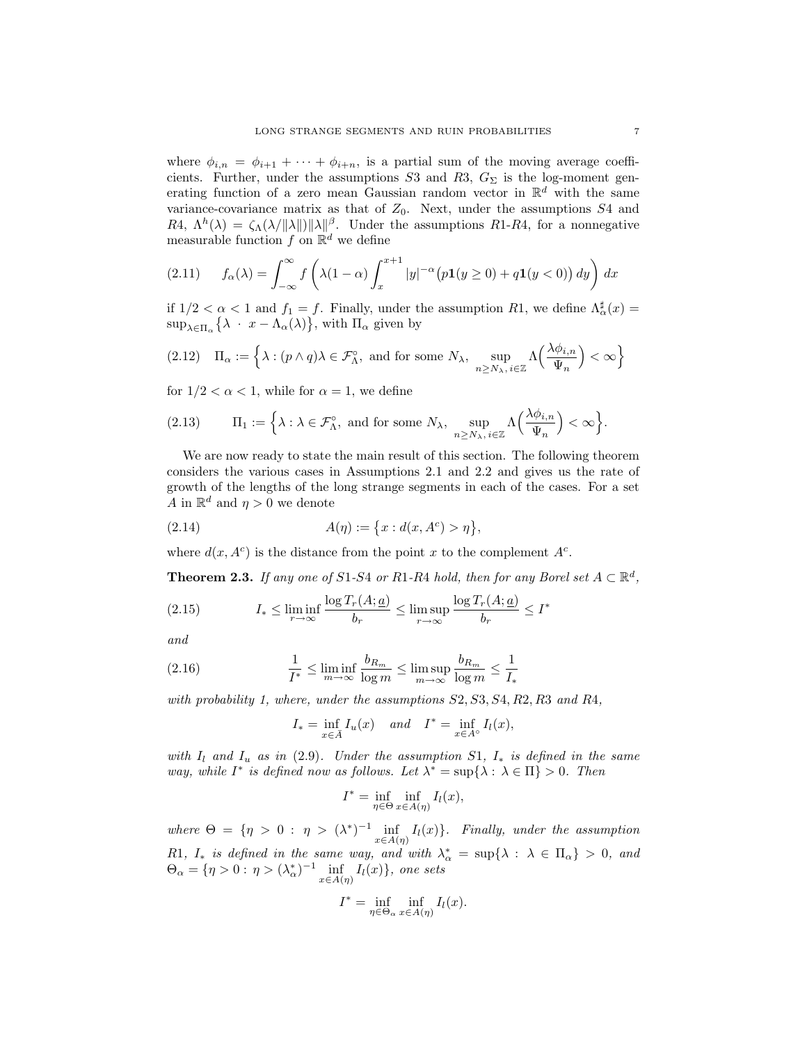where  $\phi_{i,n} = \phi_{i+1} + \cdots + \phi_{i+n}$ , is a partial sum of the moving average coefficients. Further, under the assumptions S3 and R3,  $G_{\Sigma}$  is the log-moment generating function of a zero mean Gaussian random vector in  $\mathbb{R}^d$  with the same variance-covariance matrix as that of  $Z_0$ . Next, under the assumptions  $S_4$  and  $R_4, \ \Lambda^h(\lambda) = \zeta_{\Lambda}(\lambda/\|\lambda\|) \|\lambda\|^{\beta}$ . Under the assumptions R1-R4, for a nonnegative measurable function f on  $\mathbb{R}^d$  we define

$$
(2.11) \qquad f_{\alpha}(\lambda) = \int_{-\infty}^{\infty} f\left(\lambda(1-\alpha)\int_{x}^{x+1} |y|^{-\alpha} \left(p\mathbf{1}(y\geq 0) + q\mathbf{1}(y<0)\right) dy\right) dx
$$

if  $1/2 < \alpha < 1$  and  $f_1 = f$ . Finally, under the assumption R1, we define  $\Lambda_{\alpha}^{\sharp}(x) =$  $\sup_{\lambda \in \Pi_{\alpha}} \{\lambda \cdot x - \Lambda_{\alpha}(\lambda)\},\$  with  $\Pi_{\alpha}$  given by

$$
(2.12) \quad \Pi_{\alpha} := \left\{ \lambda : (p \wedge q)\lambda \in \mathcal{F}_{\Lambda}^{\circ}, \text{ and for some } N_{\lambda}, \sup_{n \ge N_{\lambda}, i \in \mathbb{Z}} \Lambda\left(\frac{\lambda \phi_{i,n}}{\Psi_n}\right) < \infty \right\}
$$

for  $1/2 < \alpha < 1$ , while for  $\alpha = 1$ , we define

(2.13) 
$$
\Pi_1 := \left\{ \lambda : \lambda \in \mathcal{F}_\Lambda^{\circ}, \text{ and for some } N_\lambda, \sup_{n \ge N_\lambda, i \in \mathbb{Z}} \Lambda\left(\frac{\lambda \phi_{i,n}}{\Psi_n}\right) < \infty \right\}.
$$

We are now ready to state the main result of this section. The following theorem considers the various cases in Assumptions 2.1 and 2.2 and gives us the rate of growth of the lengths of the long strange segments in each of the cases. For a set A in  $\mathbb{R}^d$  and  $\eta > 0$  we denote

(2.14) 
$$
A(\eta) := \{x : d(x, A^c) > \eta\},\
$$

where  $d(x, A^c)$  is the distance from the point x to the complement  $A^c$ .

**Theorem 2.3.** If any one of S1-S4 or R1-R4 hold, then for any Borel set  $A \subset \mathbb{R}^d$ ,

(2.15) 
$$
I_* \leq \liminf_{r \to \infty} \frac{\log T_r(A; \underline{a})}{b_r} \leq \limsup_{r \to \infty} \frac{\log T_r(A; \underline{a})}{b_r} \leq I^*
$$

and

(2.16) 
$$
\frac{1}{I^*} \leq \liminf_{m \to \infty} \frac{b_{R_m}}{\log m} \leq \limsup_{m \to \infty} \frac{b_{R_m}}{\log m} \leq \frac{1}{I_*}
$$

with probability 1, where, under the assumptions  $S2, S3, S4, R2, R3$  and  $R4$ .

$$
I_* = \inf_{x \in \bar{A}} I_u(x) \quad and \quad I^* = \inf_{x \in A^\circ} I_l(x),
$$

with  $I_l$  and  $I_u$  as in (2.9). Under the assumption S1,  $I_*$  is defined in the same way, while  $I^*$  is defined now as follows. Let  $\lambda^* = \sup\{\lambda : \lambda \in \Pi\} > 0$ . Then

$$
I^* = \inf_{\eta \in \Theta} \inf_{x \in A(\eta)} I_l(x),
$$

where  $\Theta = {\eta > 0 : \eta > (\lambda^*)^{-1} \inf_{x \in A(\eta)} I_l(x)}$ . Finally, under the assumption R1,  $I_*$  is defined in the same way, and with  $\lambda_{\alpha}^* = \sup\{\lambda : \lambda \in \Pi_{\alpha}\} > 0$ , and  $\Theta_{\alpha} = {\eta > 0 : \eta > (\lambda_{\alpha}^{*})^{-1} \inf_{x \in A(\eta)} I_{l}(x)}$ , one sets

$$
I^* = \inf_{\eta \in \Theta_\alpha} \inf_{x \in A(\eta)} I_l(x).
$$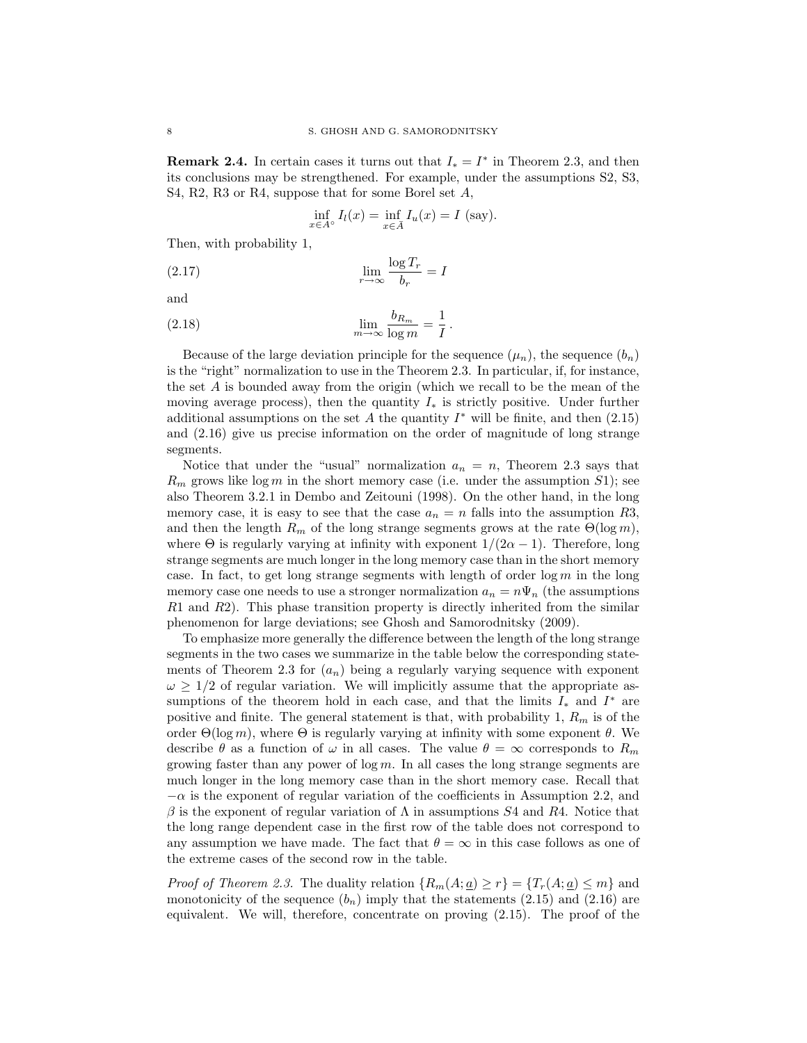**Remark 2.4.** In certain cases it turns out that  $I_* = I^*$  in Theorem 2.3, and then its conclusions may be strengthened. For example, under the assumptions S2, S3, S4, R2, R3 or R4, suppose that for some Borel set A,

$$
\inf_{x \in A^{\circ}} I_{l}(x) = \inf_{x \in \overline{A}} I_{u}(x) = I \text{ (say)}.
$$

Then, with probability 1,

$$
\lim_{r \to \infty} \frac{\log T_r}{b_r} = I
$$

and

(2.18) 
$$
\lim_{m \to \infty} \frac{b_{R_m}}{\log m} = \frac{1}{I}.
$$

Because of the large deviation principle for the sequence  $(\mu_n)$ , the sequence  $(b_n)$ is the "right" normalization to use in the Theorem 2.3. In particular, if, for instance, the set A is bounded away from the origin (which we recall to be the mean of the moving average process), then the quantity  $I_*$  is strictly positive. Under further additional assumptions on the set A the quantity  $I^*$  will be finite, and then  $(2.15)$ and (2.16) give us precise information on the order of magnitude of long strange segments.

Notice that under the "usual" normalization  $a_n = n$ , Theorem 2.3 says that  $R_m$  grows like log m in the short memory case (i.e. under the assumption S1); see also Theorem 3.2.1 in Dembo and Zeitouni (1998). On the other hand, in the long memory case, it is easy to see that the case  $a_n = n$  falls into the assumption R3, and then the length  $R_m$  of the long strange segments grows at the rate  $\Theta(\log m)$ , where  $\Theta$  is regularly varying at infinity with exponent  $1/(2\alpha - 1)$ . Therefore, long strange segments are much longer in the long memory case than in the short memory case. In fact, to get long strange segments with length of order  $\log m$  in the long memory case one needs to use a stronger normalization  $a_n = n\Psi_n$  (the assumptions  $R1$  and  $R2$ ). This phase transition property is directly inherited from the similar phenomenon for large deviations; see Ghosh and Samorodnitsky (2009).

To emphasize more generally the difference between the length of the long strange segments in the two cases we summarize in the table below the corresponding statements of Theorem 2.3 for  $(a_n)$  being a regularly varying sequence with exponent  $\omega \geq 1/2$  of regular variation. We will implicitly assume that the appropriate assumptions of the theorem hold in each case, and that the limits  $I_*$  and  $I^*$  are positive and finite. The general statement is that, with probability 1,  $R_m$  is of the order  $\Theta(\log m)$ , where  $\Theta$  is regularly varying at infinity with some exponent  $\theta$ . We describe  $\theta$  as a function of  $\omega$  in all cases. The value  $\theta = \infty$  corresponds to  $R_m$ growing faster than any power of  $\log m$ . In all cases the long strange segments are much longer in the long memory case than in the short memory case. Recall that  $-\alpha$  is the exponent of regular variation of the coefficients in Assumption 2.2, and  $β$  is the exponent of regular variation of  $Λ$  in assumptions  $S4$  and  $R4$ . Notice that the long range dependent case in the first row of the table does not correspond to any assumption we have made. The fact that  $\theta = \infty$  in this case follows as one of the extreme cases of the second row in the table.

*Proof of Theorem 2.3.* The duality relation  $\{R_m(A; \underline{a}) \geq r\} = \{T_r(A; \underline{a}) \leq m\}$  and monotonicity of the sequence  $(b_n)$  imply that the statements (2.15) and (2.16) are equivalent. We will, therefore, concentrate on proving (2.15). The proof of the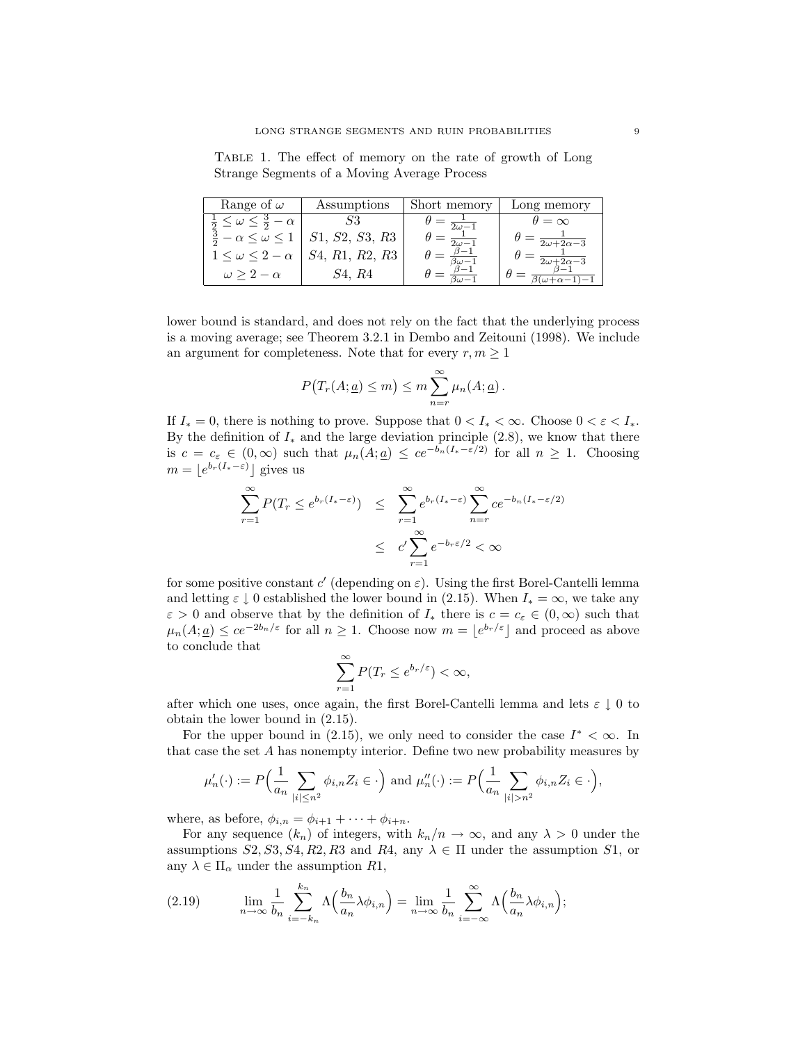Table 1. The effect of memory on the rate of growth of Long Strange Segments of a Moving Average Process

| Range of $\omega$                                     | Assumptions        | Short memory              | Long memory                    |
|-------------------------------------------------------|--------------------|---------------------------|--------------------------------|
| $\langle \omega \langle \frac{3}{2} - \alpha \rangle$ |                    | $=$ $\frac{1}{2\omega-1}$ | $\theta = \infty$              |
| $\frac{3}{2} - \alpha \leq \omega \leq 1$             | S1, S2, S3, R3     |                           | $=\frac{1}{2\omega+2\alpha-3}$ |
| $1 \leq \omega \leq 2-\alpha$                         | $S_4$ , R1, R2, R3 |                           | $\sqrt{2\omega+2\alpha-3}$     |
| $\omega > 2 - \alpha$                                 | S4. R4             |                           |                                |

lower bound is standard, and does not rely on the fact that the underlying process is a moving average; see Theorem 3.2.1 in Dembo and Zeitouni (1998). We include an argument for completeness. Note that for every  $r, m \geq 1$ 

$$
P\big(T_r(A; \underline{a}) \leq m\big) \leq m \sum_{n=r}^{\infty} \mu_n(A; \underline{a})\,.
$$

If  $I_* = 0$ , there is nothing to prove. Suppose that  $0 < I_* < \infty$ . Choose  $0 < \varepsilon < I_*$ . By the definition of  $I_*$  and the large deviation principle  $(2.8)$ , we know that there is  $c = c_{\varepsilon} \in (0, \infty)$  such that  $\mu_n(A; \underline{a}) \leq c e^{-b_n(I_*-\varepsilon/2)}$  for all  $n \geq 1$ . Choosing  $m = |e^{b_r(I_*-\varepsilon)}|$  gives us

$$
\sum_{r=1}^{\infty} P(T_r \le e^{b_r(I_*-\varepsilon)}) \le \sum_{r=1}^{\infty} e^{b_r(I_*-\varepsilon)} \sum_{n=r}^{\infty} c e^{-b_n(I_*-\varepsilon/2)}
$$

$$
\le c' \sum_{r=1}^{\infty} e^{-b_r \varepsilon/2} < \infty
$$

for some positive constant  $c'$  (depending on  $\varepsilon$ ). Using the first Borel-Cantelli lemma and letting  $\varepsilon \downarrow 0$  established the lower bound in (2.15). When  $I_* = \infty$ , we take any  $\varepsilon > 0$  and observe that by the definition of  $I_*$  there is  $c = c_{\varepsilon} \in (0, \infty)$  such that  $\mu_n(A; \underline{a}) \leq ce^{-2b_n/\varepsilon}$  for all  $n \geq 1$ . Choose now  $m = \lfloor e^{b_r/\varepsilon} \rfloor$  and proceed as above to conclude that

$$
\sum_{r=1}^{\infty} P(T_r \le e^{b_r/\varepsilon}) < \infty,
$$

after which one uses, once again, the first Borel-Cantelli lemma and lets  $\varepsilon \downarrow 0$  to obtain the lower bound in (2.15).

For the upper bound in (2.15), we only need to consider the case  $I^* < \infty$ . In that case the set A has nonempty interior. Define two new probability measures by

$$
\mu'_n(\cdot) := P\Big(\frac{1}{a_n} \sum_{|i| \le n^2} \phi_{i,n} Z_i \in \cdot\Big) \text{ and } \mu''_n(\cdot) := P\Big(\frac{1}{a_n} \sum_{|i| > n^2} \phi_{i,n} Z_i \in \cdot\Big),
$$

where, as before,  $\phi_{i,n} = \phi_{i+1} + \cdots + \phi_{i+n}$ .

For any sequence  $(k_n)$  of integers, with  $k_n/n \to \infty$ , and any  $\lambda > 0$  under the assumptions  $S_2$ ,  $S_3$ ,  $S_4$ ,  $R_2$ ,  $R_3$  and  $R_4$ , any  $\lambda \in \Pi$  under the assumption  $S_1$ , or any  $\lambda \in \Pi_{\alpha}$  under the assumption  $R1$ ,

(2.19) 
$$
\lim_{n \to \infty} \frac{1}{b_n} \sum_{i=-k_n}^{k_n} \Lambda\left(\frac{b_n}{a_n} \lambda \phi_{i,n}\right) = \lim_{n \to \infty} \frac{1}{b_n} \sum_{i=-\infty}^{\infty} \Lambda\left(\frac{b_n}{a_n} \lambda \phi_{i,n}\right);
$$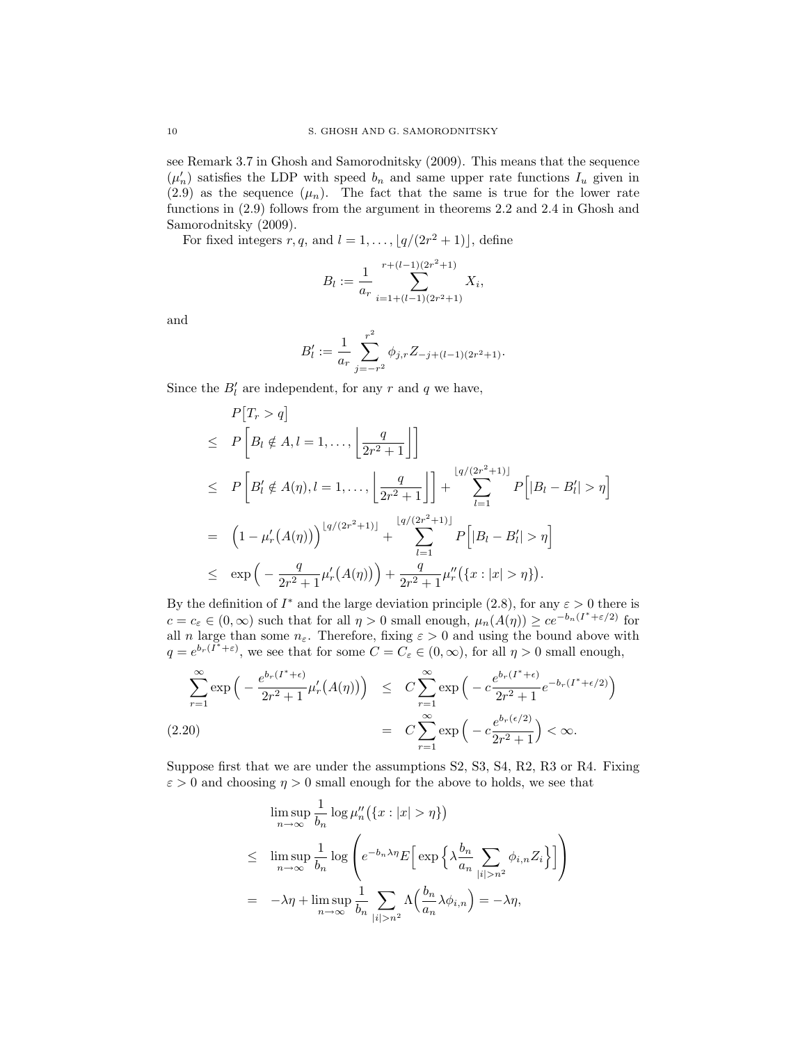see Remark 3.7 in Ghosh and Samorodnitsky (2009). This means that the sequence  $(\mu'_n)$  satisfies the LDP with speed  $b_n$  and same upper rate functions  $I_u$  given in (2.9) as the sequence  $(\mu_n)$ . The fact that the same is true for the lower rate functions in (2.9) follows from the argument in theorems 2.2 and 2.4 in Ghosh and Samorodnitsky (2009).

For fixed integers r, q, and  $l = 1, \ldots, \lfloor q/(2r^2 + 1) \rfloor$ , define

$$
B_l := \frac{1}{a_r} \sum_{i=1+(l-1)(2r^2+1)}^{r+(l-1)(2r^2+1)} X_i,
$$

and

$$
B'_l:=\frac{1}{a_r}\sum_{j=-r^2}^{r^2}\phi_{j,r}Z_{-j+(l-1)(2r^2+1)}.
$$

Since the  $B'_l$  are independent, for any  $r$  and  $q$  we have,

$$
P[T_r > q]
$$
  
\n
$$
\leq P\left[B_l \notin A, l = 1, ..., \left\lfloor \frac{q}{2r^2 + 1} \right\rfloor\right]
$$
  
\n
$$
\leq P\left[B'_l \notin A(\eta), l = 1, ..., \left\lfloor \frac{q}{2r^2 + 1} \right\rfloor\right] + \sum_{l=1}^{\lfloor q/(2r^2 + 1) \rfloor} P\left[|B_l - B'_l| > \eta\right]
$$
  
\n
$$
= \left(1 - \mu'_r(A(\eta))\right)^{\lfloor q/(2r^2 + 1) \rfloor} + \sum_{l=1}^{\lfloor q/(2r^2 + 1) \rfloor} P\left[|B_l - B'_l| > \eta\right]
$$
  
\n
$$
\leq \exp\left(-\frac{q}{2r^2 + 1}\mu'_r(A(\eta))\right) + \frac{q}{2r^2 + 1}\mu''_r(\lbrace x : |x| > \eta \rbrace).
$$

By the definition of  $I^*$  and the large deviation principle (2.8), for any  $\varepsilon > 0$  there is  $c = c_{\varepsilon} \in (0, \infty)$  such that for all  $\eta > 0$  small enough,  $\mu_n(A(\eta)) \geq ce^{-b_n(I^* + \varepsilon/2)}$  for all n large than some  $n_{\varepsilon}$ . Therefore, fixing  $\varepsilon > 0$  and using the bound above with  $q = e^{b_r(\tilde{I}^* + \varepsilon)}$ , we see that for some  $C = C_{\varepsilon} \in (0, \infty)$ , for all  $\eta > 0$  small enough,

$$
\sum_{r=1}^{\infty} \exp\left(-\frac{e^{b_r(I^*+\epsilon)}}{2r^2+1}\mu'_r(A(\eta))\right) \leq C \sum_{r=1}^{\infty} \exp\left(-c\frac{e^{b_r(I^*+\epsilon)}}{2r^2+1}e^{-b_r(I^*+\epsilon/2)}\right)
$$
\n
$$
= C \sum_{r=1}^{\infty} \exp\left(-c\frac{e^{b_r(\epsilon/2)}}{2r^2+1}\right) < \infty.
$$

Suppose first that we are under the assumptions S2, S3, S4, R2, R3 or R4. Fixing  $\varepsilon > 0$  and choosing  $\eta > 0$  small enough for the above to holds, we see that

$$
\limsup_{n \to \infty} \frac{1}{b_n} \log \mu_n''(\lbrace x : |x| > \eta \rbrace)
$$
\n
$$
\leq \limsup_{n \to \infty} \frac{1}{b_n} \log \left( e^{-b_n \lambda \eta} E\Big[\exp \Big\lbrace \lambda \frac{b_n}{a_n} \sum_{|i| > n^2} \phi_{i,n} Z_i \Big\rbrace \Big] \right)
$$
\n
$$
= -\lambda \eta + \limsup_{n \to \infty} \frac{1}{b_n} \sum_{|i| > n^2} \Lambda \Big(\frac{b_n}{a_n} \lambda \phi_{i,n}\Big) = -\lambda \eta,
$$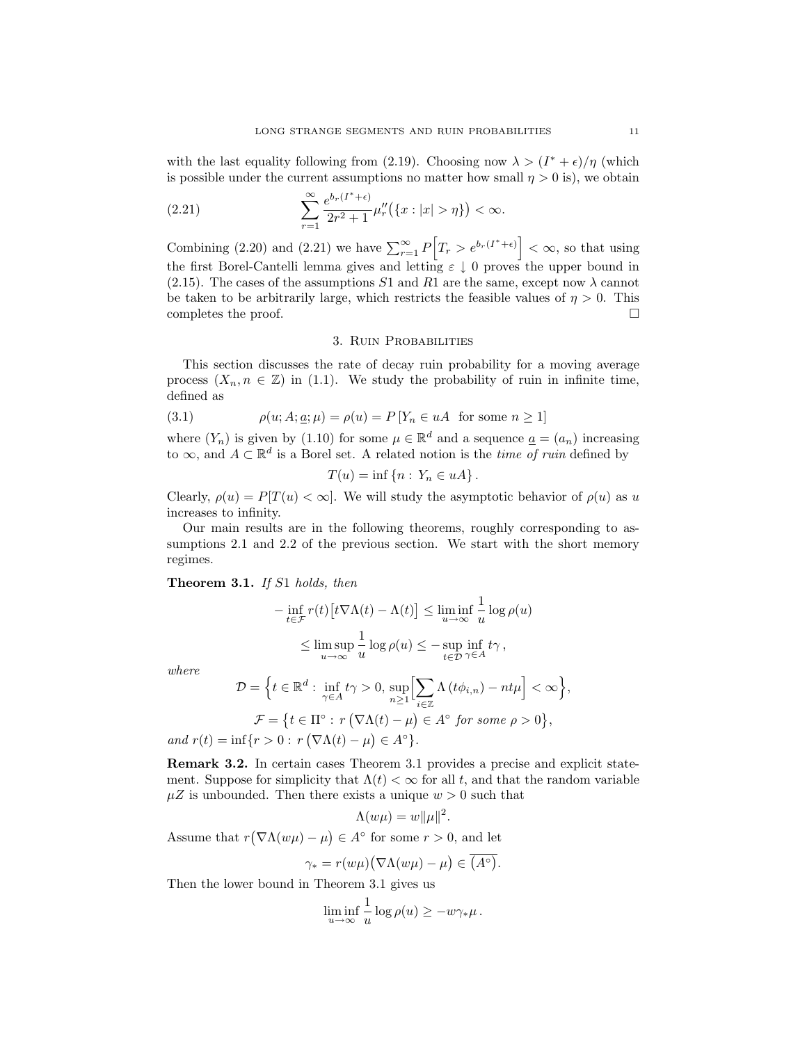with the last equality following from (2.19). Choosing now  $\lambda > (I^* + \epsilon)/\eta$  (which is possible under the current assumptions no matter how small  $\eta > 0$  is), we obtain

(2.21) 
$$
\sum_{r=1}^{\infty} \frac{e^{b_r(I^* + \epsilon)}}{2r^2 + 1} \mu_r''(\{x : |x| > \eta\}) < \infty.
$$

Combining (2.20) and (2.21) we have  $\sum_{r=1}^{\infty} P\left[T_r > e^{b_r(I^*+\epsilon)}\right] < \infty$ , so that using the first Borel-Cantelli lemma gives and letting  $\varepsilon \downarrow 0$  proves the upper bound in (2.15). The cases of the assumptions S1 and R1 are the same, except now  $\lambda$  cannot be taken to be arbitrarily large, which restricts the feasible values of  $\eta > 0$ . This completes the proof.

# 3. Ruin Probabilities

This section discusses the rate of decay ruin probability for a moving average process  $(X_n, n \in \mathbb{Z})$  in (1.1). We study the probability of ruin in infinite time, defined as

(3.1) 
$$
\rho(u; A; \underline{a}; \mu) = \rho(u) = P[Y_n \in uA \text{ for some } n \ge 1]
$$

where  $(Y_n)$  is given by (1.10) for some  $\mu \in \mathbb{R}^d$  and a sequence  $\underline{a} = (a_n)$  increasing to  $\infty$ , and  $A \subset \mathbb{R}^d$  is a Borel set. A related notion is the *time of ruin* defined by

$$
T(u) = \inf \{ n : Y_n \in uA \}.
$$

Clearly,  $\rho(u) = P[T(u) < \infty]$ . We will study the asymptotic behavior of  $\rho(u)$  as u increases to infinity.

Our main results are in the following theorems, roughly corresponding to assumptions 2.1 and 2.2 of the previous section. We start with the short memory regimes.

Theorem 3.1. If S1 holds, then

$$
-\inf_{t \in \mathcal{F}} r(t) \left[ t \nabla \Lambda(t) - \Lambda(t) \right] \le \liminf_{u \to \infty} \frac{1}{u} \log \rho(u)
$$
  

$$
\le \limsup_{u \to \infty} \frac{1}{u} \log \rho(u) \le -\sup_{t \in \mathcal{D}} \inf_{\gamma \in A} t_{\gamma},
$$

where

$$
\mathcal{D} = \Big\{ t \in \mathbb{R}^d : \inf_{\gamma \in A} t\gamma > 0, \sup_{n \ge 1} \Big[ \sum_{i \in \mathbb{Z}} \Lambda(t\phi_{i,n}) - nt\mu \Big] < \infty \Big\},\
$$
  

$$
\mathcal{F} = \Big\{ t \in \Pi^\circ : r \left( \nabla \Lambda(t) - \mu \right) \in A^\circ \text{ for some } \rho > 0 \Big\},\
$$

and  $r(t) = \inf\{r > 0 : r(\nabla \Lambda(t) - \mu) \in A^{\circ}\}.$ 

Remark 3.2. In certain cases Theorem 3.1 provides a precise and explicit statement. Suppose for simplicity that  $\Lambda(t) < \infty$  for all t, and that the random variable  $\mu Z$  is unbounded. Then there exists a unique  $w > 0$  such that

$$
\Lambda(w\mu) = w \|\mu\|^2
$$

.

Assume that  $r(\nabla \Lambda(w\mu) - \mu) \in A^{\circ}$  for some  $r > 0$ , and let

$$
\gamma_* = r(w\mu)\big(\nabla\Lambda(w\mu) - \mu\big) \in (A^\circ).
$$

Then the lower bound in Theorem 3.1 gives us

$$
\liminf_{u \to \infty} \frac{1}{u} \log \rho(u) \ge -w \gamma_* \mu.
$$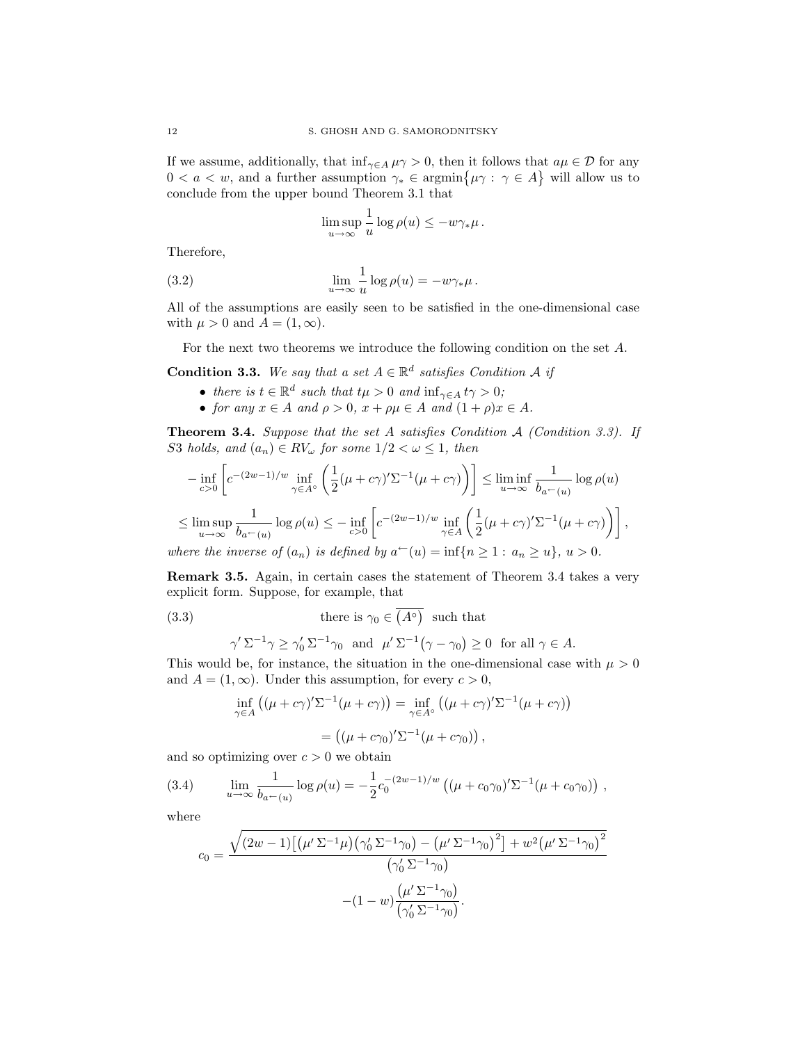If we assume, additionally, that inf<sub>γ∈A</sub>  $\mu$ γ > 0, then it follows that  $a\mu \in \mathcal{D}$  for any  $0 < a < w$ , and a further assumption  $\gamma_* \in \text{argmin}\{\mu \gamma : \gamma \in A\}$  will allow us to conclude from the upper bound Theorem 3.1 that

$$
\limsup_{u\to\infty}\frac{1}{u}\log\rho(u)\leq -w\gamma_*\mu\,.
$$

Therefore,

(3.2) 
$$
\lim_{u \to \infty} \frac{1}{u} \log \rho(u) = -w \gamma_* \mu.
$$

All of the assumptions are easily seen to be satisfied in the one-dimensional case with  $\mu > 0$  and  $A = (1, \infty)$ .

For the next two theorems we introduce the following condition on the set A.

**Condition 3.3.** We say that a set  $A \in \mathbb{R}^d$  satisfies Condition A if

- there is  $t \in \mathbb{R}^d$  such that  $t\mu > 0$  and  $\inf_{\gamma \in A} t\gamma > 0$ ;
- for any  $x \in A$  and  $\rho > 0$ ,  $x + \rho \mu \in A$  and  $(1 + \rho)x \in A$ .

**Theorem 3.4.** Suppose that the set A satisfies Condition  $A$  (Condition 3.3). If S3 holds, and  $(a_n) \in RV_\omega$  for some  $1/2 < \omega \leq 1$ , then

$$
-\inf_{c>0} \left[ c^{-(2w-1)/w} \inf_{\gamma \in A^{\circ}} \left( \frac{1}{2} (\mu + c\gamma)' \Sigma^{-1} (\mu + c\gamma) \right) \right] \le \liminf_{u \to \infty} \frac{1}{b_{a^-(u)}} \log \rho(u)
$$
  

$$
\le \limsup_{u \to \infty} \frac{1}{b_{a^-(u)}} \log \rho(u) \le -\inf_{c>0} \left[ c^{-(2w-1)/w} \inf_{\gamma \in A} \left( \frac{1}{2} (\mu + c\gamma)' \Sigma^{-1} (\mu + c\gamma) \right) \right],
$$

where the inverse of  $(a_n)$  is defined by  $a^-(u) = \inf\{n \geq 1 : a_n \geq u\}, u > 0$ .

Remark 3.5. Again, in certain cases the statement of Theorem 3.4 takes a very explicit form. Suppose, for example, that

(3.3) there is 
$$
\gamma_0 \in \overline{(A^{\circ})}
$$
 such that  
\n $\gamma' \Sigma^{-1} \gamma \ge \gamma_0' \Sigma^{-1} \gamma_0$  and  $\mu' \Sigma^{-1} (\gamma - \gamma_0) \ge 0$  for all  $\gamma \in A$ .

This would be, for instance, the situation in the one-dimensional case with  $\mu > 0$ and  $A = (1, \infty)$ . Under this assumption, for every  $c > 0$ ,

$$
\inf_{\gamma \in A} ((\mu + c\gamma)' \Sigma^{-1} (\mu + c\gamma)) = \inf_{\gamma \in A^{\circ}} ((\mu + c\gamma)' \Sigma^{-1} (\mu + c\gamma))
$$

$$
= ((\mu + c\gamma_0)' \Sigma^{-1} (\mu + c\gamma_0)),
$$

and so optimizing over  $c > 0$  we obtain

(3.4) 
$$
\lim_{u \to \infty} \frac{1}{b_{a^{-}(u)}} \log \rho(u) = -\frac{1}{2} c_0^{-(2w-1)/w} \left( (\mu + c_0 \gamma_0)' \Sigma^{-1} (\mu + c_0 \gamma_0) \right) ,
$$

where

$$
c_0 = \frac{\sqrt{(2w-1)\left[\left(\mu'\Sigma^{-1}\mu\right)\left(\gamma_0'\Sigma^{-1}\gamma_0\right) - \left(\mu'\Sigma^{-1}\gamma_0\right)^2\right] + w^2\left(\mu'\Sigma^{-1}\gamma_0\right)^2}}{\left(\gamma_0'\Sigma^{-1}\gamma_0\right)} - (1-w)\frac{\left(\mu'\Sigma^{-1}\gamma_0\right)}{\left(\gamma_0'\Sigma^{-1}\gamma_0\right)}.
$$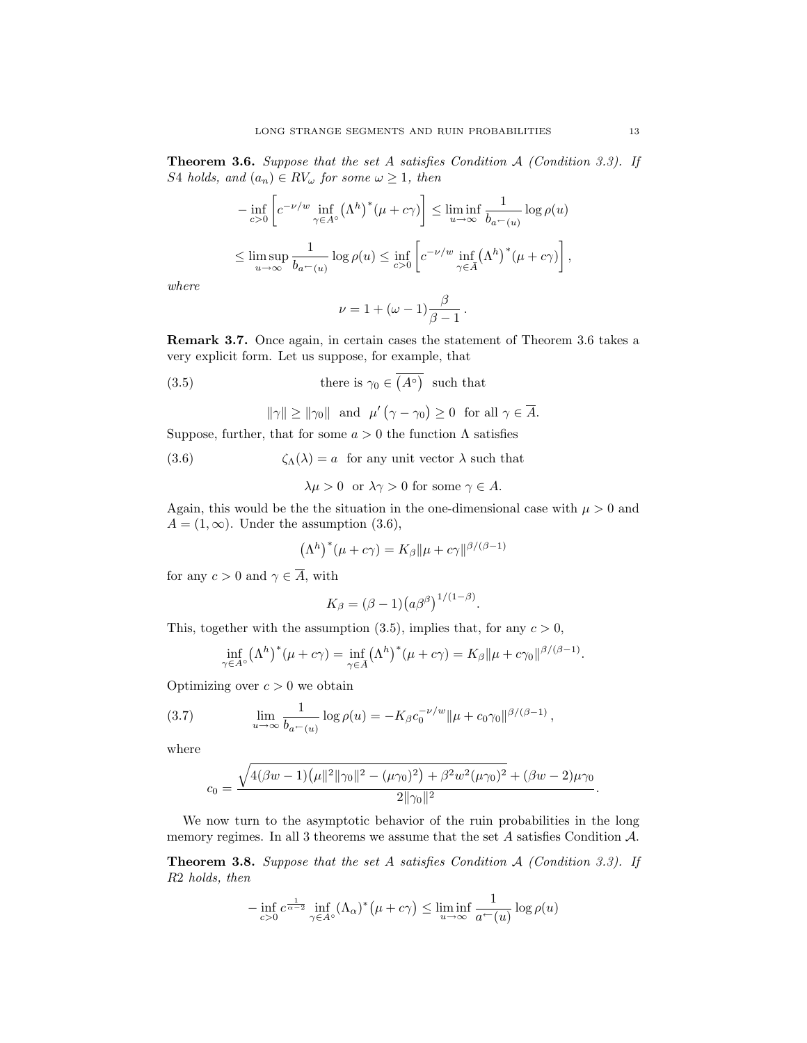**Theorem 3.6.** Suppose that the set A satisfies Condition  $A$  (Condition 3.3). If S4 holds, and  $(a_n) \in RV_\omega$  for some  $\omega \geq 1$ , then

$$
-\inf_{c>0} \left[ c^{-\nu/w} \inf_{\gamma \in A^{\circ}} (\Lambda^h)^*(\mu + c\gamma) \right] \le \liminf_{u \to \infty} \frac{1}{b_{a^-(u)}} \log \rho(u)
$$
  

$$
\le \limsup_{u \to \infty} \frac{1}{b_{a^-(u)}} \log \rho(u) \le \inf_{c>0} \left[ c^{-\nu/w} \inf_{\gamma \in \bar{A}} (\Lambda^h)^*(\mu + c\gamma) \right],
$$

where

$$
\nu = 1 + (\omega - 1) \frac{\beta}{\beta - 1} \, .
$$

Remark 3.7. Once again, in certain cases the statement of Theorem 3.6 takes a very explicit form. Let us suppose, for example, that

(3.5) there is 
$$
\gamma_0 \in \overline{(A^{\circ})}
$$
 such that

 $\|\gamma\| \ge \|\gamma_0\|$  and  $\mu'(\gamma - \gamma_0) \ge 0$  for all  $\gamma \in \overline{A}$ .

Suppose, further, that for some  $a > 0$  the function  $\Lambda$  satisfies

(3.6)  $\zeta_{\Lambda}(\lambda) = a$  for any unit vector  $\lambda$  such that

$$
\lambda \mu > 0
$$
 or  $\lambda \gamma > 0$  for some  $\gamma \in A$ .

Again, this would be the the situation in the one-dimensional case with  $\mu > 0$  and  $A = (1, \infty)$ . Under the assumption  $(3.6)$ ,

$$
(\Lambda^h)^*(\mu+c\gamma)=K_\beta\|\mu+c\gamma\|^{\beta/(\beta-1)}
$$

for any  $c > 0$  and  $\gamma \in \overline{A}$ , with

$$
K_{\beta} = (\beta - 1) \left( a \beta^{\beta} \right)^{1/(1-\beta)}.
$$

This, together with the assumption (3.5), implies that, for any  $c > 0$ ,

$$
\inf_{\gamma \in A^{\circ}} (\Lambda^h)^* (\mu + c\gamma) = \inf_{\gamma \in \bar{A}} (\Lambda^h)^* (\mu + c\gamma) = K_{\beta} ||\mu + c\gamma_0||^{\beta/(\beta - 1)}.
$$

Optimizing over  $c > 0$  we obtain

(3.7) 
$$
\lim_{u \to \infty} \frac{1}{b_{a^-(u)}} \log \rho(u) = -K_\beta c_0^{-\nu/w} ||\mu + c_0 \gamma_0||^{\beta/(\beta - 1)},
$$

where

$$
c_0 = \frac{\sqrt{4(\beta w - 1)(\mu \|^{2} \|\gamma_0\|^{2} - (\mu \gamma_0)^{2}) + \beta^{2} w^{2} (\mu \gamma_0)^{2}} + (\beta w - 2) \mu \gamma_0}{2 \|\gamma_0\|^{2}}.
$$

We now turn to the asymptotic behavior of the ruin probabilities in the long memory regimes. In all 3 theorems we assume that the set  $A$  satisfies Condition  $A$ .

**Theorem 3.8.** Suppose that the set A satisfies Condition  $A$  (Condition 3.3). If R2 holds, then

$$
-\inf_{c>0}c^{\frac{1}{\alpha-2}}\inf_{\gamma\in A^\circ}(\Lambda_\alpha)^*\big(\mu+c\gamma\big)\leq \liminf_{u\to\infty}\frac{1}{a^\leftarrow(u)}\log\rho(u)
$$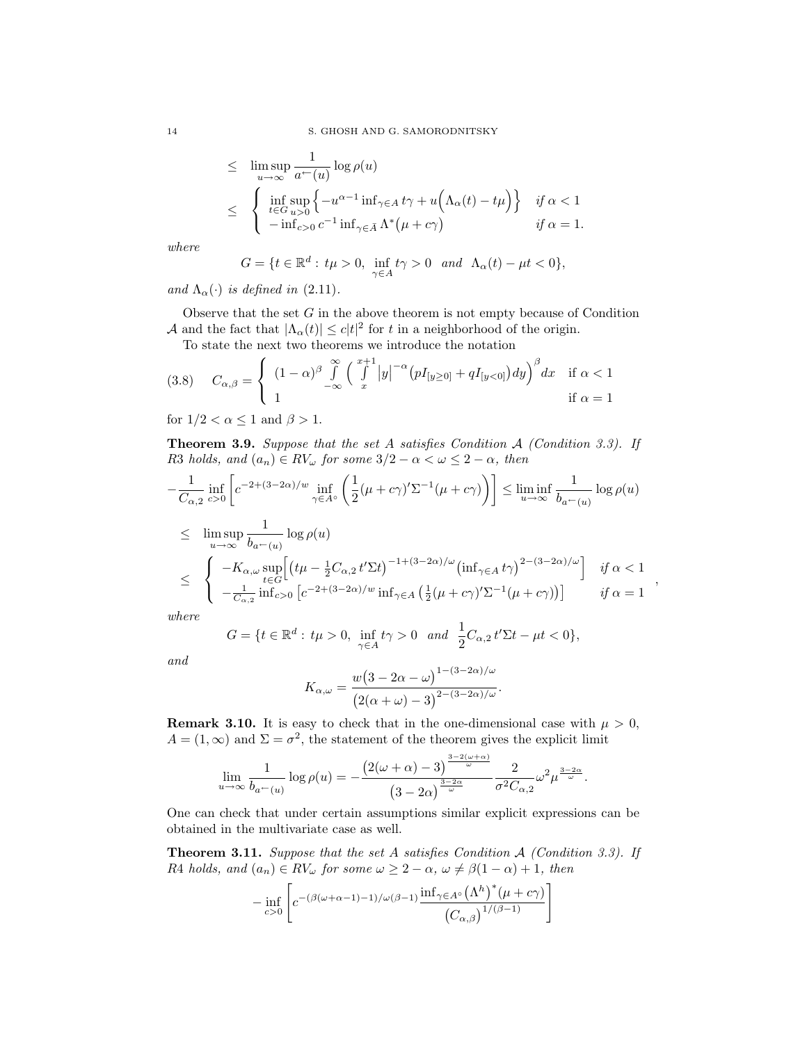$$
\leq \limsup_{u \to \infty} \frac{1}{a^-(u)} \log \rho(u)
$$
  

$$
\leq \left\{ \inf_{t \in G} \sup_{u > 0} \left\{ -u^{\alpha - 1} \inf_{\gamma \in A} t\gamma + u\left( \Lambda_\alpha(t) - t\mu \right) \right\} \quad \text{if } \alpha < 1
$$
  

$$
- \inf_{c > 0} c^{-1} \inf_{\gamma \in \bar{A}} \Lambda^*(\mu + c\gamma) \qquad \text{if } \alpha = 1.
$$

where

$$
G = \{ t \in \mathbb{R}^d : t\mu > 0, \inf_{\gamma \in A} t\gamma > 0 \text{ and } \Lambda_\alpha(t) - \mu t < 0 \},
$$

and  $\Lambda_{\alpha}(\cdot)$  is defined in (2.11).

Observe that the set  $G$  in the above theorem is not empty because of Condition A and the fact that  $|\Lambda_{\alpha}(t)| \leq c|t|^2$  for t in a neighborhood of the origin.

To state the next two theorems we introduce the notation

$$
(3.8) \tC_{\alpha,\beta} = \begin{cases} (1-\alpha)^{\beta} \int\limits_{-\infty}^{\infty} \left(\int\limits_{x}^{x+1} |y|^{-\alpha} \left(pI_{[y\geq 0]} + qI_{[y<0]}\right) dy\right)^{\beta} dx & \text{if } \alpha < 1\\ 1 & \text{if } \alpha = 1 \end{cases}
$$

for  $1/2 < \alpha \leq 1$  and  $\beta > 1$ .

**Theorem 3.9.** Suppose that the set A satisfies Condition  $A$  (Condition 3.3). If R3 holds, and  $(a_n) \in RV_\omega$  for some  $3/2 - \alpha < \omega \leq 2 - \alpha$ , then

$$
-\frac{1}{C_{\alpha,2}} \inf_{c>0} \left[ c^{-2+(3-2\alpha)/w} \inf_{\gamma \in A^{\circ}} \left( \frac{1}{2} (\mu + c\gamma)^{\prime} \Sigma^{-1} (\mu + c\gamma) \right) \right] \leq \liminf_{u \to \infty} \frac{1}{b_{a}(-u)} \log \rho(u)
$$
  
\n
$$
\leq \limsup_{u \to \infty} \frac{1}{b_{a}(-u)} \log \rho(u)
$$
  
\n
$$
\leq \begin{cases} -K_{\alpha,\omega} \sup_{t \in G} \left[ (t\mu - \frac{1}{2}C_{\alpha,2}t^{\prime} \Sigma t)^{-1+(3-2\alpha)/\omega} \left( \inf_{\gamma \in A} t\gamma \right)^{2-(3-2\alpha)/\omega} \right] & \text{if } \alpha < 1 \\ -\frac{1}{C_{\alpha,2}} \inf_{c>0} \left[ c^{-2+(3-2\alpha)/w} \inf_{\gamma \in A} \left( \frac{1}{2} (\mu + c\gamma)^{\prime} \Sigma^{-1} (\mu + c\gamma) \right) \right] & \text{if } \alpha = 1 \end{cases}
$$

,

where

$$
G = \{ t \in \mathbb{R}^d : t\mu > 0, \inf_{\gamma \in A} t\gamma > 0 \text{ and } \frac{1}{2} C_{\alpha,2} t' \Sigma t - \mu t < 0 \},
$$

and

$$
K_{\alpha,\omega} = \frac{w(3 - 2\alpha - \omega)^{1 - (3 - 2\alpha)/\omega}}{\left(2(\alpha + \omega) - 3\right)^{2 - (3 - 2\alpha)/\omega}}.
$$

**Remark 3.10.** It is easy to check that in the one-dimensional case with  $\mu > 0$ ,  $A = (1, \infty)$  and  $\Sigma = \sigma^2$ , the statement of the theorem gives the explicit limit

$$
\lim_{u \to \infty} \frac{1}{b_{a}(-u)} \log \rho(u) = -\frac{\left(2(\omega + \alpha) - 3\right)^{\frac{3 - 2(\omega + \alpha)}{\omega}}}{\left(3 - 2\alpha\right)^{\frac{3 - 2\alpha}{\omega}}} \frac{2}{\sigma^2 C_{\alpha,2}} \omega^2 \mu^{\frac{3 - 2\alpha}{\omega}}.
$$

One can check that under certain assumptions similar explicit expressions can be obtained in the multivariate case as well.

**Theorem 3.11.** Suppose that the set A satisfies Condition  $A$  (Condition 3.3). If R4 holds, and  $(a_n) \in RV_\omega$  for some  $\omega \geq 2 - \alpha$ ,  $\omega \neq \beta(1 - \alpha) + 1$ , then

$$
-\inf_{c>0}\left[c^{-(\beta(\omega+\alpha-1)-1)/\omega(\beta-1)}\frac{\inf_{\gamma\in A^{\circ}}(\Lambda^h)^*(\mu+c\gamma)}{(C_{\alpha,\beta})^{1/(\beta-1)}}\right]
$$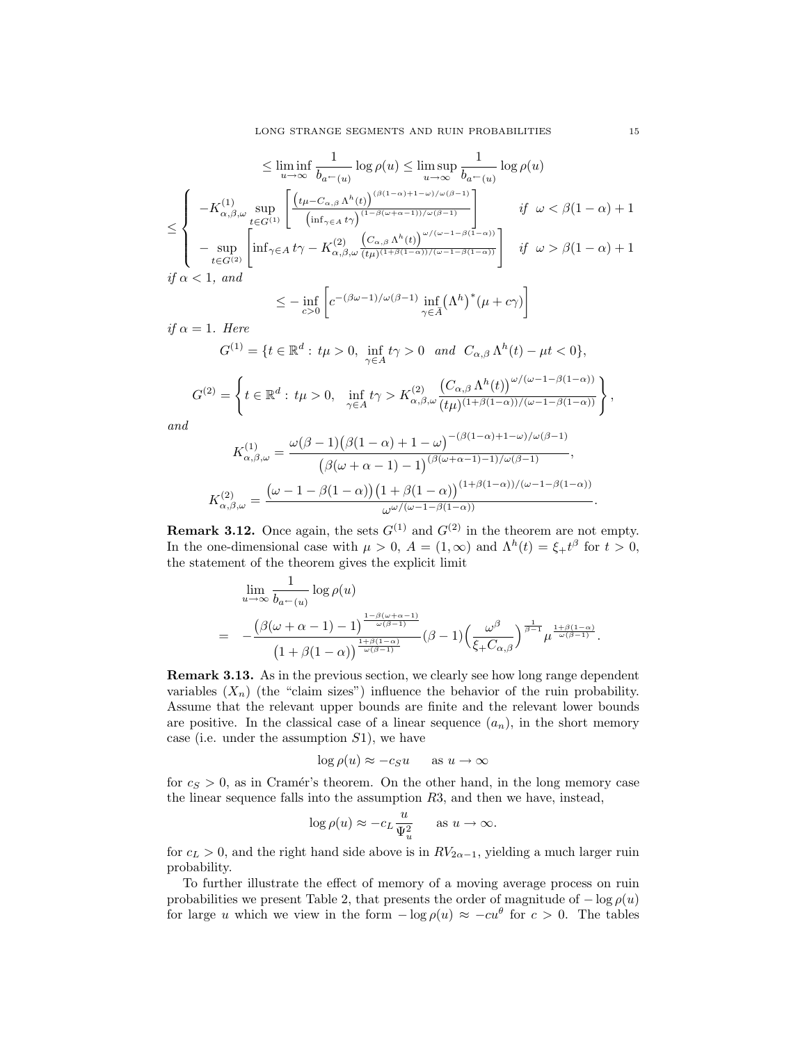$$
\leq \liminf_{u \to \infty} \frac{1}{b_{a^-(u)}} \log \rho(u) \leq \limsup_{u \to \infty} \frac{1}{b_{a^-(u)}} \log \rho(u)
$$
  

$$
\leq \begin{cases} -K_{\alpha,\beta,\omega}^{(1)} \sup_{t \in G^{(1)}} \left[ \frac{\left( t\mu - C_{\alpha,\beta}\Lambda^h(t) \right)^{(\beta(1-\alpha)+1-\omega)/\omega(\beta-1)}}{\left( \inf_{\gamma \in A} t\gamma \right)^{(1-\beta(\omega+\alpha-1))/\omega(\beta-1)}} \right] & \text{if } \omega < \beta(1-\alpha)+1 \\ -\sup_{t \in G^{(2)}} \left[ \inf_{\gamma \in A} t\gamma - K_{\alpha,\beta,\omega}^{(2)} \frac{\left( C_{\alpha,\beta}\Lambda^h(t) \right)^{\omega/(\omega-1-\beta(1-\alpha))}}{\left( t\mu \right)^{(1+\beta(1-\alpha))/(\omega-1-\beta(1-\alpha))}} \right] & \text{if } \omega > \beta(1-\alpha)+1 \end{cases}
$$
  
if  $\alpha < 1$ , and

$$
\leq -\inf_{c>0}\left[c^{-(\beta\omega-1)/\omega(\beta-1)}\inf_{\gamma\in\bar{A}}(\Lambda^h)^*(\mu+c\gamma)\right]
$$

if  $\alpha = 1$ . Here

$$
G^{(1)} = \{t \in \mathbb{R}^d : t\mu > 0, \inf_{\gamma \in A} t\gamma > 0 \text{ and } C_{\alpha,\beta} \Lambda^h(t) - \mu t < 0\},\
$$

$$
G^{(2)} = \left\{t \in \mathbb{R}^d : t\mu > 0, \inf_{\gamma \in A} t\gamma > K_{\alpha,\beta,\omega}^{(2)} \frac{\left(C_{\alpha,\beta} \Lambda^h(t)\right)^{\omega/(\omega - 1 - \beta(1 - \alpha))}}{(t\mu)^{(1 + \beta(1 - \alpha))/(\omega - 1 - \beta(1 - \alpha))}}\right\},\
$$

and

$$
K_{\alpha,\beta,\omega}^{(1)} = \frac{\omega(\beta-1)\big(\beta(1-\alpha)+1-\omega\big)^{-(\beta(1-\alpha)+1-\omega)/\omega(\beta-1)}}{\big(\beta(\omega+\alpha-1)-1\big)^{(\beta(\omega+\alpha-1)-1)/\omega(\beta-1)}},
$$
  

$$
K_{\alpha,\beta,\omega}^{(2)} = \frac{\big(\omega-1-\beta(1-\alpha)\big)\big(1+\beta(1-\alpha)\big)^{(1+\beta(1-\alpha))/(\omega-1-\beta(1-\alpha))}}{\omega^{\omega/(\omega-1-\beta(1-\alpha))}}.
$$

**Remark 3.12.** Once again, the sets  $G^{(1)}$  and  $G^{(2)}$  in the theorem are not empty. In the one-dimensional case with  $\mu > 0$ ,  $A = (1, \infty)$  and  $\Lambda^h(t) = \xi + t^{\beta}$  for  $t > 0$ , the statement of the theorem gives the explicit limit

$$
\lim_{u \to \infty} \frac{1}{b_{a^{\leftarrow}(u)}} \log \rho(u)
$$
\n
$$
= -\frac{\left(\beta(\omega + \alpha - 1) - 1\right)^{\frac{1 - \beta(\omega + \alpha - 1)}{\omega(\beta - 1)}}}{\left(1 + \beta(1 - \alpha)\right)^{\frac{1 + \beta(1 - \alpha)}{\omega(\beta - 1)}}} (\beta - 1) \left(\frac{\omega^{\beta}}{\xi_{+} C_{\alpha, \beta}}\right)^{\frac{1}{\beta - 1}} \mu^{\frac{1 + \beta(1 - \alpha)}{\omega(\beta - 1)}}.
$$

Remark 3.13. As in the previous section, we clearly see how long range dependent variables  $(X_n)$  (the "claim sizes") influence the behavior of the ruin probability. Assume that the relevant upper bounds are finite and the relevant lower bounds are positive. In the classical case of a linear sequence  $(a_n)$ , in the short memory case (i.e. under the assumption  $S1$ ), we have

$$
\log \rho(u) \approx -c_S u \quad \text{as } u \to \infty
$$

for  $c_s > 0$ , as in Cramér's theorem. On the other hand, in the long memory case the linear sequence falls into the assumption  $R3$ , and then we have, instead,

$$
\log \rho(u) \approx -c_L \frac{u}{\Psi_u^2} \quad \text{as } u \to \infty.
$$

for  $c_L > 0$ , and the right hand side above is in  $RV_{2\alpha-1}$ , yielding a much larger ruin probability.

To further illustrate the effect of memory of a moving average process on ruin probabilities we present Table 2, that presents the order of magnitude of  $-\log \rho(u)$ for large u which we view in the form  $-\log \rho(u) \approx -cu^{\theta}$  for  $c > 0$ . The tables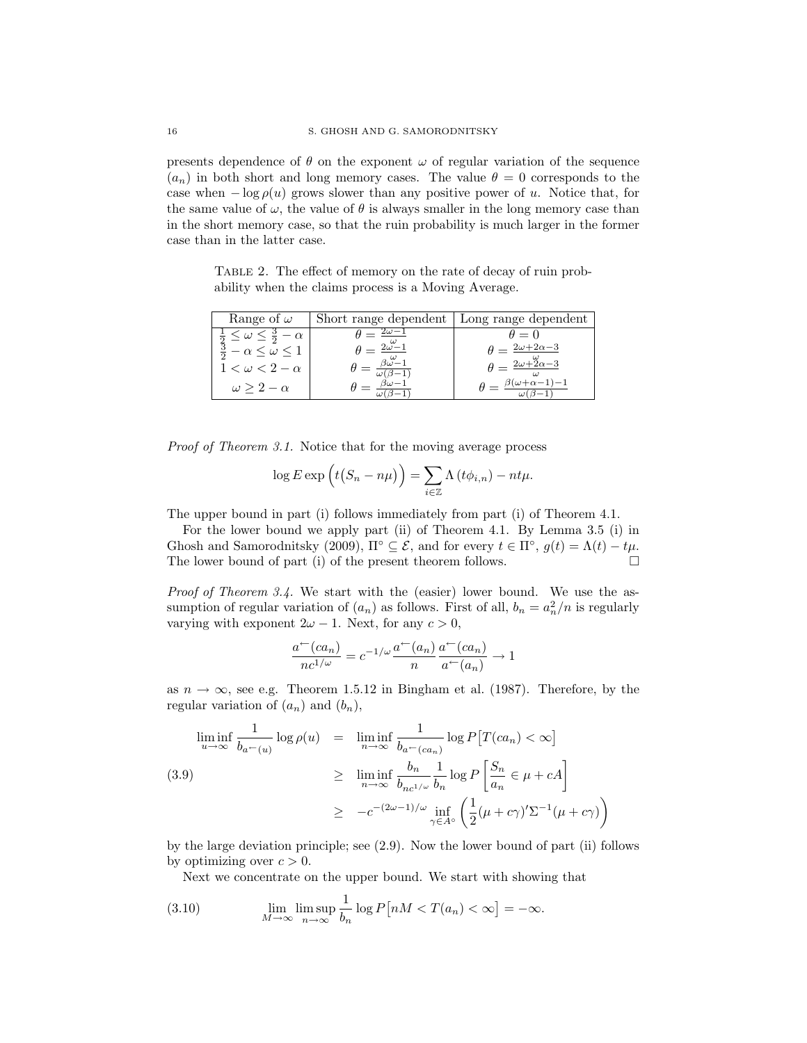presents dependence of  $\theta$  on the exponent  $\omega$  of regular variation of the sequence  $(a_n)$  in both short and long memory cases. The value  $\theta = 0$  corresponds to the case when  $-\log \rho(u)$  grows slower than any positive power of u. Notice that, for the same value of  $\omega$ , the value of  $\theta$  is always smaller in the long memory case than in the short memory case, so that the ruin probability is much larger in the former case than in the latter case.

Table 2. The effect of memory on the rate of decay of ruin probability when the claims process is a Moving Average.

| Range of $\omega$                              | Short range dependent | Long range dependent              |
|------------------------------------------------|-----------------------|-----------------------------------|
| $\alpha \leq \omega \leq \frac{3}{2} - \alpha$ |                       | $\theta = 0$                      |
| $\frac{2}{3} - \alpha \leq \omega \leq 1$      |                       | $=$ $\frac{2\omega+2\alpha-3}{2}$ |
| $1 < \omega < 2 - \alpha$                      |                       | $=2\omega+2\alpha-3$              |
| $\omega > 2 - \alpha$                          |                       |                                   |

Proof of Theorem 3.1. Notice that for the moving average process

$$
\log E \exp\left(t(S_n - n\mu)\right) = \sum_{i \in \mathbb{Z}} \Lambda\left(t\phi_{i,n}\right) - nt\mu.
$$

The upper bound in part (i) follows immediately from part (i) of Theorem 4.1.

For the lower bound we apply part (ii) of Theorem 4.1. By Lemma 3.5 (i) in Ghosh and Samorodnitsky (2009),  $\Pi^{\circ} \subseteq \mathcal{E}$ , and for every  $t \in \Pi^{\circ}$ ,  $g(t) = \Lambda(t) - t\mu$ . The lower bound of part (i) of the present theorem follows.  $\Box$ 

*Proof of Theorem 3.4.* We start with the (easier) lower bound. We use the assumption of regular variation of  $(a_n)$  as follows. First of all,  $b_n = a_n^2/n$  is regularly varying with exponent  $2\omega - 1$ . Next, for any  $c > 0$ ,

$$
\frac{a^{\leftarrow}(ca_n)}{nc^{1/\omega}} = c^{-1/\omega} \frac{a^{\leftarrow}(a_n)}{n} \frac{a^{\leftarrow}(ca_n)}{a^{\leftarrow}(a_n)} \to 1
$$

as  $n \to \infty$ , see e.g. Theorem 1.5.12 in Bingham et al. (1987). Therefore, by the regular variation of  $(a_n)$  and  $(b_n)$ ,

$$
\liminf_{u \to \infty} \frac{1}{b_{a^{-}(u)}} \log \rho(u) = \liminf_{n \to \infty} \frac{1}{b_{a^{-}(ca_n)}} \log P[T(ca_n) < \infty]
$$
\n
$$
(3.9) \geq \liminf_{n \to \infty} \frac{b_n}{b_{nc^{1/\omega}}} \frac{1}{b_n} \log P\left[\frac{S_n}{a_n} \in \mu + cA\right]
$$
\n
$$
\geq -c^{-(2\omega - 1)/\omega} \inf_{\gamma \in A^\circ} \left(\frac{1}{2}(\mu + c\gamma)'\Sigma^{-1}(\mu + c\gamma)\right)
$$

by the large deviation principle; see (2.9). Now the lower bound of part (ii) follows by optimizing over  $c > 0$ .

Next we concentrate on the upper bound. We start with showing that

(3.10) 
$$
\lim_{M \to \infty} \lim_{n \to \infty} \frac{1}{b_n} \log P[nM < T(a_n) < \infty] = -\infty.
$$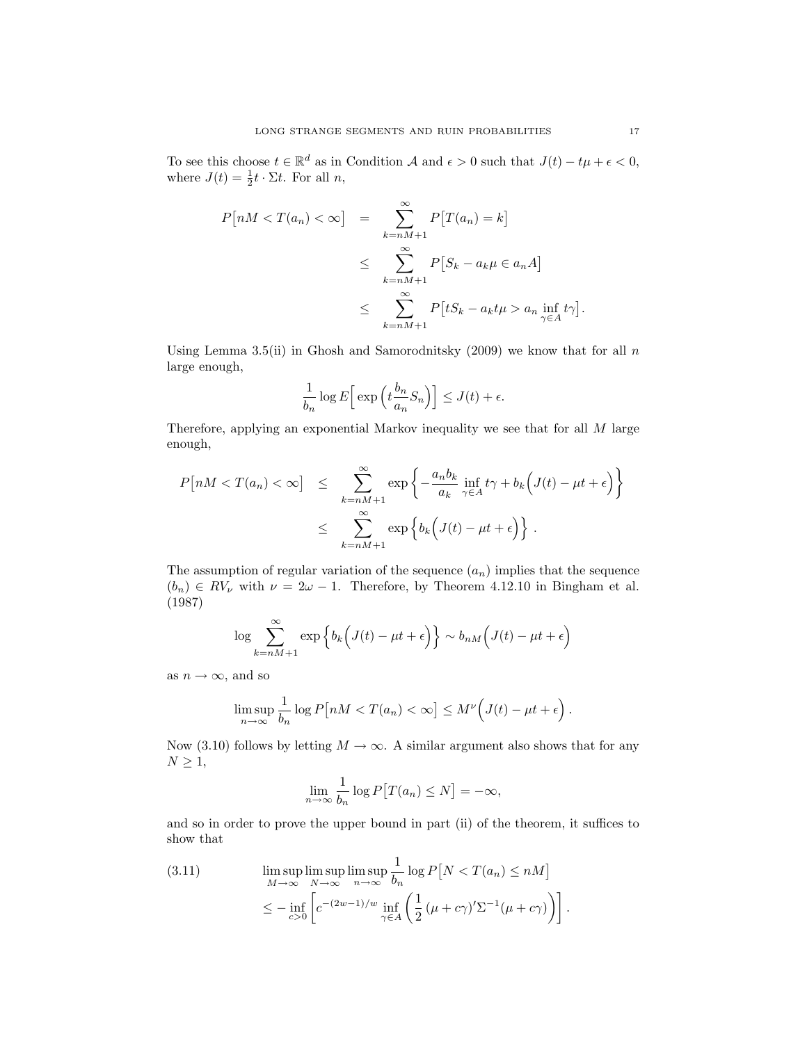To see this choose  $t \in \mathbb{R}^d$  as in Condition A and  $\epsilon > 0$  such that  $J(t) - t\mu + \epsilon < 0$ , where  $J(t) = \frac{1}{2}t \cdot \Sigma t$ . For all *n*,

$$
P[nM < T(a_n) < \infty] = \sum_{k=nM+1}^{\infty} P[T(a_n) = k]
$$
  

$$
\leq \sum_{k=nM+1}^{\infty} P[S_k - a_k \mu \in a_n A]
$$
  

$$
\leq \sum_{k=nM+1}^{\infty} P[tS_k - a_k t \mu > a_n \inf_{\gamma \in A} t \gamma]
$$

Using Lemma 3.5(ii) in Ghosh and Samorodnitsky (2009) we know that for all  $n$ large enough,

$$
\frac{1}{b_n} \log E\Big[\exp\Big(t\frac{b_n}{a_n}S_n\Big)\Big] \le J(t) + \epsilon.
$$

Therefore, applying an exponential Markov inequality we see that for all M large enough,

$$
P[nM < T(a_n) < \infty] \leq \sum_{k=nM+1}^{\infty} \exp \left\{ -\frac{a_n b_k}{a_k} \inf_{\gamma \in A} t\gamma + b_k \Big( J(t) - \mu t + \epsilon \Big) \right\}
$$

$$
\leq \sum_{k=nM+1}^{\infty} \exp \left\{ b_k \Big( J(t) - \mu t + \epsilon \Big) \right\}.
$$

The assumption of regular variation of the sequence  $(a_n)$  implies that the sequence  $(b_n) \in RV_\nu$  with  $\nu = 2\omega - 1$ . Therefore, by Theorem 4.12.10 in Bingham et al. (1987)

$$
\log \sum_{k=nM+1}^{\infty} \exp \left\{ b_k \left( J(t) - \mu t + \epsilon \right) \right\} \sim b_{nM} \left( J(t) - \mu t + \epsilon \right)
$$

as  $n \to \infty$ , and so

$$
\limsup_{n\to\infty}\frac{1}{b_n}\log P[nM
$$

Now (3.10) follows by letting  $M \to \infty$ . A similar argument also shows that for any  $N \geq 1$ ,

$$
\lim_{n \to \infty} \frac{1}{b_n} \log P[T(a_n) \le N] = -\infty,
$$

and so in order to prove the upper bound in part (ii) of the theorem, it suffices to show that

(3.11) 
$$
\limsup_{M \to \infty} \limsup_{N \to \infty} \limsup_{n \to \infty} \frac{1}{b_n} \log P[N < T(a_n) \le nM]
$$

$$
\le - \inf_{c > 0} \left[ c^{-(2w-1)/w} \inf_{\gamma \in A} \left( \frac{1}{2} (\mu + c\gamma)' \Sigma^{-1} (\mu + c\gamma) \right) \right].
$$

.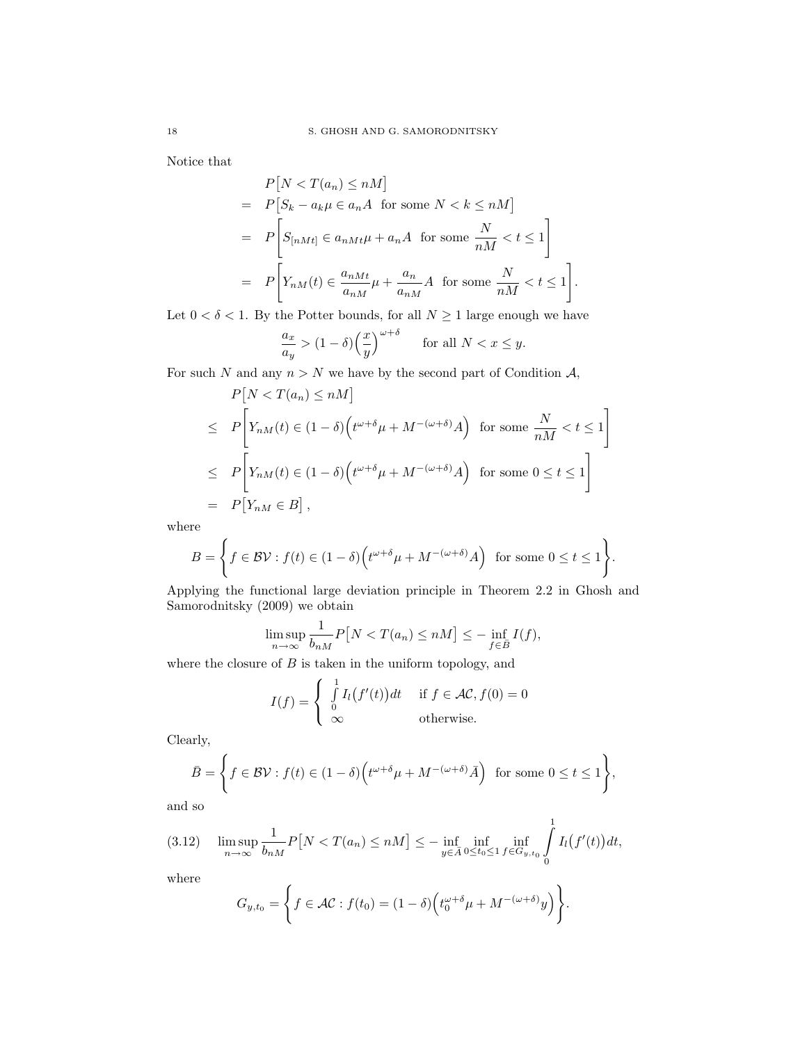Notice that

$$
P[N < T(a_n) \le nM]
$$
  
=  $P[S_k - a_k \mu \in a_n A \text{ for some } N < k \le nM]$   
=  $P\left[S_{[nMt]} \in a_{nMt} \mu + a_n A \text{ for some } \frac{N}{nM} < t \le 1\right]$   
=  $P\left[Y_{nM}(t) \in \frac{a_{nMt}}{a_{nM}} \mu + \frac{a_n}{a_{nM}} A \text{ for some } \frac{N}{nM} < t \le 1\right].$ 

Let  $0 < \delta < 1$ . By the Potter bounds, for all  $N \ge 1$  large enough we have

$$
\frac{a_x}{a_y} > (1 - \delta) \left(\frac{x}{y}\right)^{\omega + \delta} \quad \text{for all } N < x \le y.
$$

For such N and any  $n > N$  we have by the second part of Condition A,

$$
P[N < T(a_n) \le nM]
$$
  
\n
$$
\le P\left[Y_{nM}(t) \in (1-\delta)\left(t^{\omega+\delta}\mu + M^{-(\omega+\delta)}A\right) \text{ for some } \frac{N}{nM} < t \le 1\right]
$$
  
\n
$$
\le P\left[Y_{nM}(t) \in (1-\delta)\left(t^{\omega+\delta}\mu + M^{-(\omega+\delta)}A\right) \text{ for some } 0 \le t \le 1\right]
$$
  
\n
$$
= P\left[Y_{nM} \in B\right],
$$

where

$$
B = \left\{ f \in \mathcal{BV} : f(t) \in (1 - \delta) \Big( t^{\omega + \delta} \mu + M^{-(\omega + \delta)} A \Big) \text{ for some } 0 \le t \le 1 \right\}.
$$

Applying the functional large deviation principle in Theorem 2.2 in Ghosh and Samorodnitsky (2009) we obtain

$$
\limsup_{n \to \infty} \frac{1}{b_{nM}} P[N < T(a_n) \le nM] \le - \inf_{f \in \overline{B}} I(f),
$$

where the closure of  $B$  is taken in the uniform topology, and

$$
I(f) = \begin{cases} \int_{0}^{1} I_l(f'(t))dt & \text{if } f \in \mathcal{AC}, f(0) = 0\\ \infty & \text{otherwise.} \end{cases}
$$

Clearly,

$$
\bar{B} = \left\{ f \in \mathcal{BV} : f(t) \in (1 - \delta) \Big( t^{\omega + \delta} \mu + M^{-(\omega + \delta)} \bar{A} \Big) \text{ for some } 0 \le t \le 1 \right\},\
$$

and so

$$
(3.12) \quad \limsup_{n \to \infty} \frac{1}{b_{nM}} P\left[N < T(a_n) \le nM\right] \le - \inf_{y \in \bar{A}} \inf_{0 \le t_0 \le 1} \inf_{f \in G_{y,t_0}} \int_0^1 I_l\left(f'(t)\right) dt,
$$

where

$$
G_{y,t_0} = \left\{ f \in \mathcal{AC} : f(t_0) = (1 - \delta) \left( t_0^{\omega + \delta} \mu + M^{-(\omega + \delta)} y \right) \right\}.
$$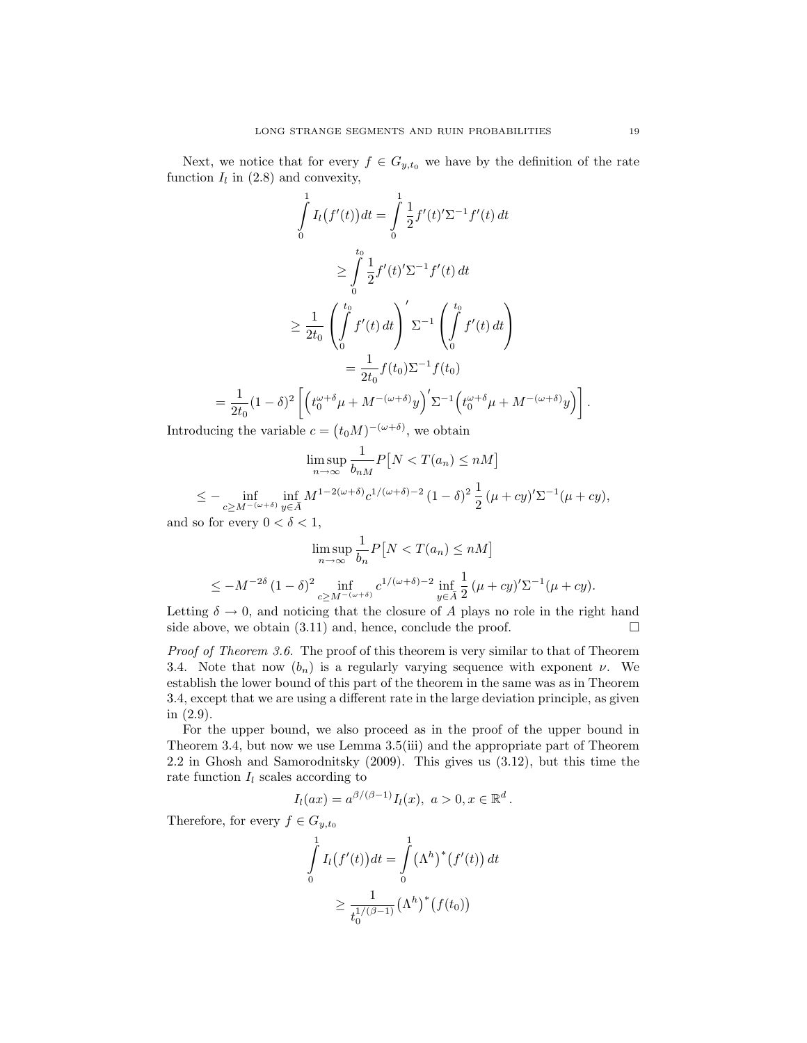Next, we notice that for every  $f \in G_{y,t_0}$  we have by the definition of the rate function  $I_l$  in (2.8) and convexity,

$$
\int_{0}^{1} I_{l}(f'(t))dt = \int_{0}^{1} \frac{1}{2} f'(t)' \Sigma^{-1} f'(t) dt
$$
\n
$$
\geq \int_{0}^{t_{0}} \frac{1}{2} f'(t)' \Sigma^{-1} f'(t) dt
$$
\n
$$
\geq \frac{1}{2t_{0}} \left( \int_{0}^{t_{0}} f'(t) dt \right)' \Sigma^{-1} \left( \int_{0}^{t_{0}} f'(t) dt \right)
$$
\n
$$
= \frac{1}{2t_{0}} f(t_{0}) \Sigma^{-1} f(t_{0})
$$
\n
$$
= \frac{1}{2t_{0}} (1 - \delta)^{2} \left[ \left( t_{0}^{\omega + \delta} \mu + M^{-(\omega + \delta)} y \right)' \Sigma^{-1} \left( t_{0}^{\omega + \delta} \mu + M^{-(\omega + \delta)} y \right) \right].
$$

Introducing the variable  $c = (t_0 M)^{-(\omega + \delta)}$ , we obtain

$$
\limsup_{n \to \infty} \frac{1}{b_{nM}} P\left[N < T(a_n) \le nM\right]
$$
\n
$$
\le - \inf_{c \ge M^{-(\omega+\delta)} y \in \overline{A}} \inf_{y \in \overline{A}} M^{1-2(\omega+\delta)} c^{1/(\omega+\delta)-2} (1-\delta)^2 \frac{1}{2} (\mu + cy)' \Sigma^{-1} (\mu + cy),
$$
\nand so for every  $0 < \delta < 1$ ,

$$
\limsup_{n \to \infty} \frac{1}{b_n} P\left[N < T(a_n) \le nM\right]
$$
\n
$$
\le -M^{-2\delta} \left(1 - \delta\right)^2 \inf_{c \ge M^{-(\omega+\delta)}} c^{1/(\omega+\delta)-2} \inf_{y \in \bar{A}} \frac{1}{2} \left(\mu + cy\right)^{\prime} \Sigma^{-1} (\mu + cy).
$$

Letting  $\delta \to 0$ , and noticing that the closure of A plays no role in the right hand side above, we obtain  $(3.11)$  and, hence, conclude the proof.  $\Box$ 

Proof of Theorem 3.6. The proof of this theorem is very similar to that of Theorem 3.4. Note that now  $(b_n)$  is a regularly varying sequence with exponent  $\nu$ . We establish the lower bound of this part of the theorem in the same was as in Theorem 3.4, except that we are using a different rate in the large deviation principle, as given in (2.9).

For the upper bound, we also proceed as in the proof of the upper bound in Theorem 3.4, but now we use Lemma 3.5(iii) and the appropriate part of Theorem 2.2 in Ghosh and Samorodnitsky (2009). This gives us (3.12), but this time the rate function  $I_l$  scales according to

$$
I_l(ax) = a^{\beta/(\beta - 1)} I_l(x), \ a > 0, x \in \mathbb{R}^d.
$$

Therefore, for every  $f \in G_{y,t_0}$ 

$$
\int_{0}^{1} I_{l}(f'(t)) dt = \int_{0}^{1} (\Lambda^{h})^{*}(f'(t)) dt
$$

$$
\geq \frac{1}{t_{0}^{1/(\beta-1)}} (\Lambda^{h})^{*}(f(t_{0}))
$$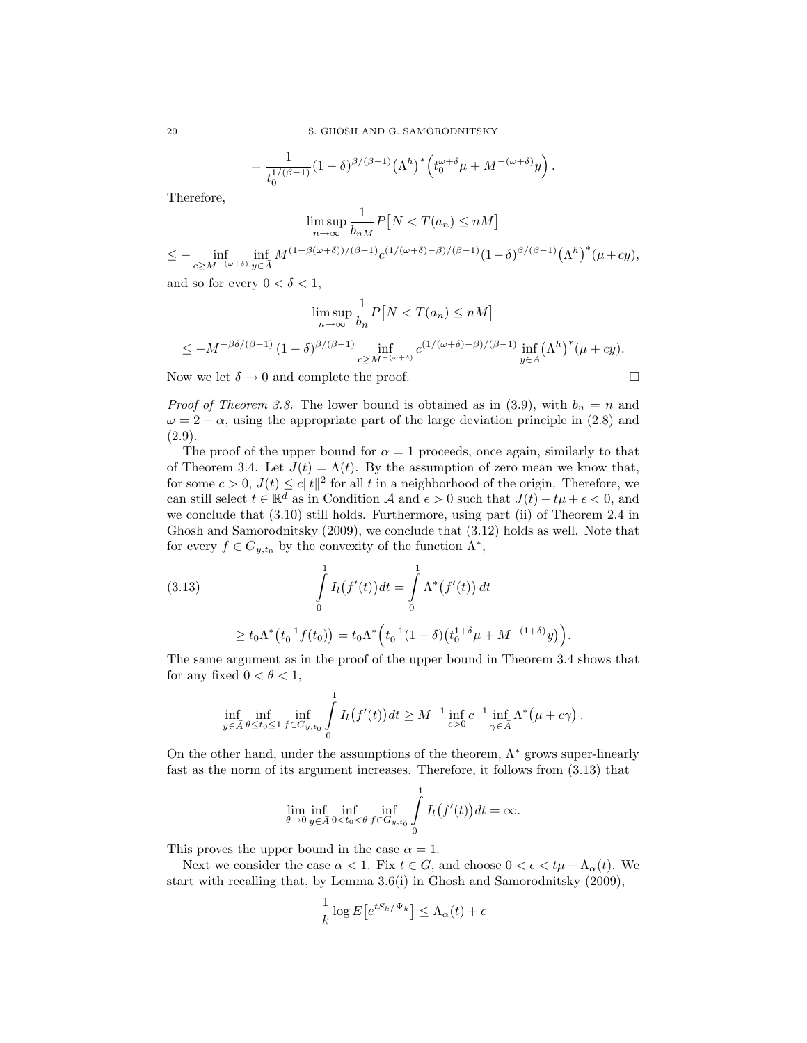$$
= \frac{1}{t_0^{1/(\beta-1)}} (1-\delta)^{\beta/(\beta-1)} (\Lambda^h)^* \Big( t_0^{\omega+\delta} \mu + M^{-(\omega+\delta)} y \Big) \, .
$$

Therefore,

$$
\limsup_{n \to \infty} \frac{1}{b_{nM}} P\big[N < T(a_n) \le nM\big]
$$

 $\leq -\inf_{c\geq M^{-(\omega+\delta)}}\inf_{y\in \bar{A}}M^{(1-\beta(\omega+\delta))/(\beta-1)}c^{(1/(\omega+\delta)-\beta)/(\beta-1)}(1-\delta)^{\beta/(\beta-1)}\big(\Lambda^h\big)^*(\mu+cy),$ 

and so for every  $0 < \delta < 1$ ,

$$
\limsup_{n \to \infty} \frac{1}{b_n} P[N < T(a_n) \le nM]
$$
\n
$$
\le -M^{-\beta\delta/(\beta-1)} \left(1 - \delta\right)^{\beta/(\beta-1)} \inf_{\substack{c \ge M^{-(\omega+\delta)}}} c^{\left(1/(\omega+\delta) - \beta\right)/(\beta-1)} \inf_{y \in \overline{A}} \left(\Lambda^h\right)^*(\mu + cy).
$$
\nwhere  $\lambda$  is a constant. The result is a constant function.

Now we let  $\delta \to 0$  and complete the proof.

*Proof of Theorem 3.8.* The lower bound is obtained as in (3.9), with  $b_n = n$  and  $\omega = 2 - \alpha$ , using the appropriate part of the large deviation principle in (2.8) and (2.9).

The proof of the upper bound for  $\alpha = 1$  proceeds, once again, similarly to that of Theorem 3.4. Let  $J(t) = \Lambda(t)$ . By the assumption of zero mean we know that, for some  $c > 0$ ,  $J(t) \le c \|t\|^2$  for all t in a neighborhood of the origin. Therefore, we can still select  $t \in \mathbb{R}^d$  as in Condition A and  $\epsilon > 0$  such that  $J(t) - t\mu + \epsilon < 0$ , and we conclude that (3.10) still holds. Furthermore, using part (ii) of Theorem 2.4 in Ghosh and Samorodnitsky (2009), we conclude that (3.12) holds as well. Note that for every  $f \in G_{y,t_0}$  by the convexity of the function  $\Lambda^*$ ,

(3.13) 
$$
\int_{0}^{1} I_{l}(f'(t)) dt = \int_{0}^{1} \Lambda^{*}(f'(t)) dt
$$

$$
\geq t_0 \Lambda^* \left( t_0^{-1} f(t_0) \right) = t_0 \Lambda^* \left( t_0^{-1} (1 - \delta) \left( t_0^{1+\delta} \mu + M^{-(1+\delta)} y \right) \right).
$$

The same argument as in the proof of the upper bound in Theorem 3.4 shows that for any fixed  $0 < \theta < 1$ ,

$$
\inf_{y \in \bar{A}} \inf_{\theta \le t_0 \le 1} \inf_{f \in G_{y,t_0}} \int_0^1 I_l(f'(t)) dt \ge M^{-1} \inf_{c > 0} c^{-1} \inf_{\gamma \in \bar{A}} \Lambda^*(\mu + c\gamma).
$$

On the other hand, under the assumptions of the theorem,  $\Lambda^*$  grows super-linearly fast as the norm of its argument increases. Therefore, it follows from (3.13) that

$$
\lim_{\theta \to 0} \inf_{y \in \bar{A}} \inf_{0 < t_0 < \theta} \inf_{f \in G_{y,t_0}} \int_0^1 I_l(f'(t)) \, dt = \infty.
$$

This proves the upper bound in the case  $\alpha = 1$ .

Next we consider the case  $\alpha < 1$ . Fix  $t \in G$ , and choose  $0 < \epsilon < t\mu - \Lambda_{\alpha}(t)$ . We start with recalling that, by Lemma 3.6(i) in Ghosh and Samorodnitsky (2009),

$$
\frac{1}{k}\log E\left[e^{tS_k/\Psi_k}\right] \leq \Lambda_\alpha(t) + \epsilon
$$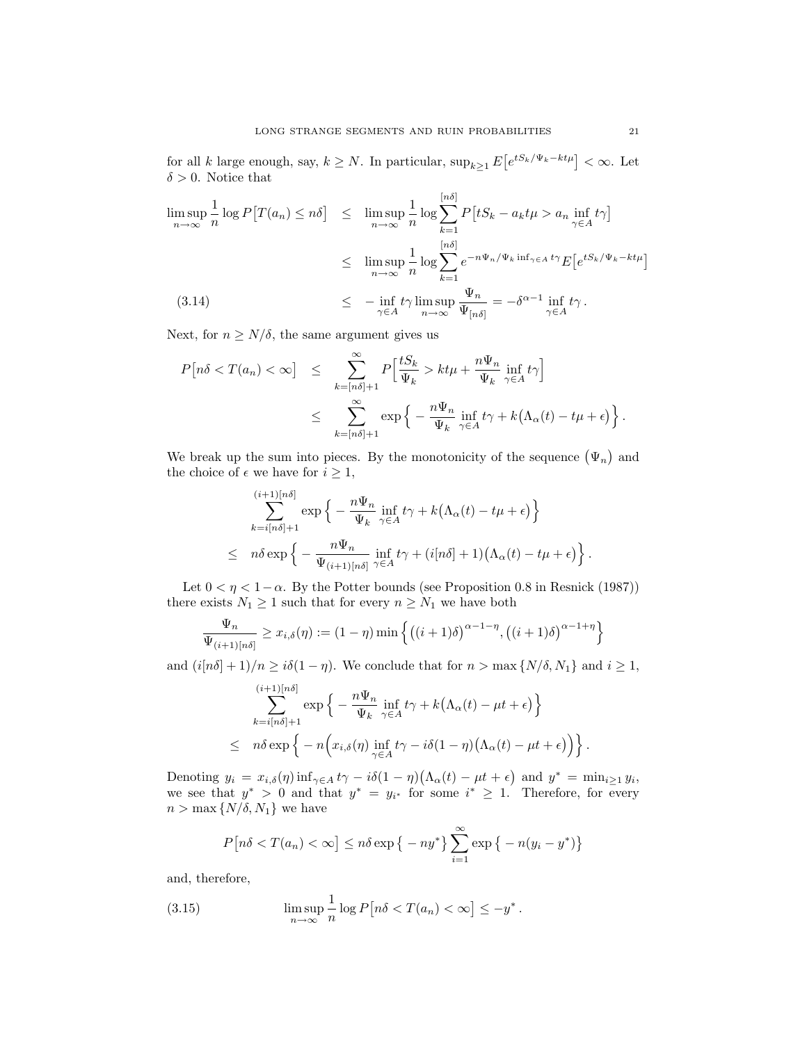for all k large enough, say,  $k \geq N$ . In particular,  $\sup_{k \geq 1} E[e^{tS_k/\Psi_k - kt\mu}] < \infty$ . Let  $\delta > 0$ . Notice that

$$
\limsup_{n \to \infty} \frac{1}{n} \log P[T(a_n) \le n\delta] \le \limsup_{n \to \infty} \frac{1}{n} \log \sum_{k=1}^{[n\delta]} P[tS_k - a_k t \mu > a_n \inf_{\gamma \in A} t\gamma]
$$
  
\n
$$
\le \limsup_{n \to \infty} \frac{1}{n} \log \sum_{k=1}^{[n\delta]} e^{-n\Psi_n/\Psi_k \inf_{\gamma \in A} t\gamma} E[e^{tS_k/\Psi_k - kt\mu}]
$$
  
\n(3.14)  
\n
$$
\le -\inf_{\gamma \in A} t\gamma \limsup_{n \to \infty} \frac{\Psi_n}{\Psi_{[n\delta]}} = -\delta^{\alpha-1} \inf_{\gamma \in A} t\gamma.
$$

Next, for  $n \geq N/\delta$ , the same argument gives us

$$
P\left[n\delta < T(a_n) < \infty\right] \leq \sum_{k=\lfloor n\delta \rfloor+1}^{\infty} P\left[\frac{tS_k}{\Psi_k} > kt\mu + \frac{n\Psi_n}{\Psi_k} \inf_{\gamma \in A} t\gamma\right]
$$
\n
$$
\leq \sum_{k=\lfloor n\delta \rfloor+1}^{\infty} \exp\left\{-\frac{n\Psi_n}{\Psi_k} \inf_{\gamma \in A} t\gamma + k\left(\Lambda_\alpha(t) - t\mu + \epsilon\right)\right\}.
$$

We break up the sum into pieces. By the monotonicity of the sequence  $(\Psi_n)$  and the choice of  $\epsilon$  we have for  $i \geq 1$ ,

$$
\sum_{k=i[n\delta]+1}^{(i+1)[n\delta]} \exp\left\{-\frac{n\Psi_n}{\Psi_k}\inf_{\gamma\in A} t\gamma + k\left(\Lambda_\alpha(t) - t\mu + \epsilon\right)\right\}
$$
  

$$
\leq n\delta \exp\left\{-\frac{n\Psi_n}{\Psi_{(i+1)[n\delta]}}\inf_{\gamma\in A} t\gamma + (i[n\delta] + 1)\left(\Lambda_\alpha(t) - t\mu + \epsilon\right)\right\}
$$

Let  $0 < \eta < 1-\alpha$ . By the Potter bounds (see Proposition 0.8 in Resnick (1987)) there exists  $N_1 \geq 1$  such that for every  $n \geq N_1$  we have both

$$
\frac{\Psi_n}{\Psi_{(i+1)[n\delta]}} \ge x_{i,\delta}(\eta) := (1-\eta)\min\left\{ \left( (i+1)\delta \right)^{\alpha-1-\eta}, \left( (i+1)\delta \right)^{\alpha-1+\eta} \right\}
$$

and  $(i[n\delta] + 1)/n \geq i\delta(1 - \eta)$ . We conclude that for  $n > \max\{N/\delta, N_1\}$  and  $i \geq 1$ ,

$$
\sum_{k=i[n\delta]+1}^{(i+1)[n\delta]} \exp\left\{-\frac{n\Psi_n}{\Psi_k}\inf_{\gamma\in A}t\gamma + k\big(\Lambda_\alpha(t) - \mu t + \epsilon\big)\right\}
$$
  
 
$$
\leq n\delta \exp\left\{-n\Big(x_{i,\delta}(\eta)\inf_{\gamma\in A}t\gamma - i\delta(1-\eta)\big(\Lambda_\alpha(t) - \mu t + \epsilon\big)\Big)\right\}.
$$

Denoting  $y_i = x_{i,\delta}(\eta) \inf_{\gamma \in A} t\gamma - i\delta(1-\eta)(\Lambda_\alpha(t) - \mu t + \epsilon)$  and  $y^* = \min_{i \geq 1} y_i$ , we see that  $y^* > 0$  and that  $y^* = y_{i^*}$  for some  $i^* \geq 1$ . Therefore, for every  $n > \max\{N/\delta, N_1\}$  we have

$$
P[n\delta < T(a_n) < \infty] \le n\delta \exp\{-ny^*\}\sum_{i=1}^{\infty} \exp\{-n(y_i - y^*)\}
$$

and, therefore,

(3.15) 
$$
\limsup_{n \to \infty} \frac{1}{n} \log P[n\delta < T(a_n) < \infty] \leq -y^*.
$$

.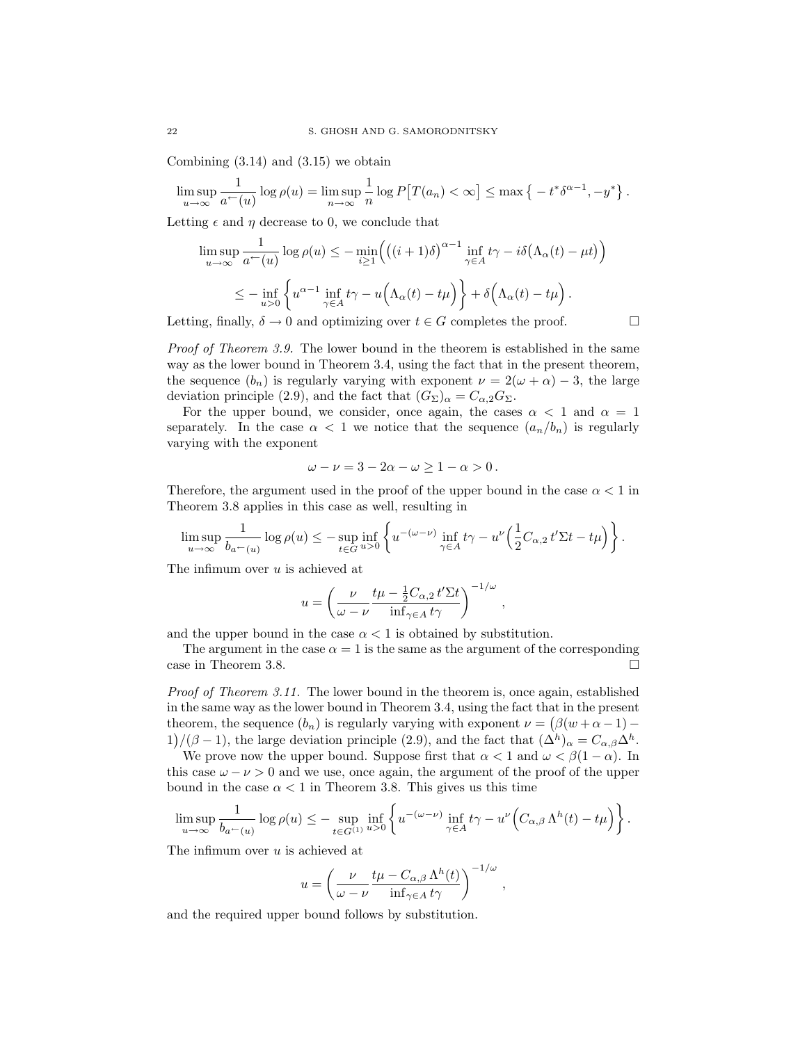Combining  $(3.14)$  and  $(3.15)$  we obtain

$$
\limsup_{u \to \infty} \frac{1}{a^{\leftarrow}(u)} \log \rho(u) = \limsup_{n \to \infty} \frac{1}{n} \log P\big[T(a_n) < \infty\big] \le \max\big\{-t^* \delta^{\alpha - 1}, -y^*\big\}.
$$

Letting  $\epsilon$  and  $\eta$  decrease to 0, we conclude that

$$
\limsup_{u \to \infty} \frac{1}{a^-(u)} \log \rho(u) \le -\min_{i \ge 1} \Big( \big( (i+1)\delta \big)^{\alpha-1} \inf_{\gamma \in A} t\gamma - i\delta \big( \Lambda_\alpha(t) - \mu t \big) \Big)
$$
  

$$
\le -\inf_{u > 0} \left\{ u^{\alpha-1} \inf_{\gamma \in A} t\gamma - u \Big( \Lambda_\alpha(t) - t\mu \Big) \right\} + \delta \Big( \Lambda_\alpha(t) - t\mu \Big).
$$

Letting, finally,  $\delta \to 0$  and optimizing over  $t \in G$  completes the proof.

Proof of Theorem 3.9. The lower bound in the theorem is established in the same way as the lower bound in Theorem 3.4, using the fact that in the present theorem, the sequence  $(b_n)$  is regularly varying with exponent  $\nu = 2(\omega + \alpha) - 3$ , the large deviation principle (2.9), and the fact that  $(G_{\Sigma})_{\alpha} = C_{\alpha,2}G_{\Sigma}$ .

For the upper bound, we consider, once again, the cases  $\alpha < 1$  and  $\alpha = 1$ separately. In the case  $\alpha < 1$  we notice that the sequence  $(a_n/b_n)$  is regularly varying with the exponent

$$
\omega-\nu=3-2\alpha-\omega\geq 1-\alpha>0\,.
$$

Therefore, the argument used in the proof of the upper bound in the case  $\alpha < 1$  in Theorem 3.8 applies in this case as well, resulting in

$$
\limsup_{u\to\infty}\frac{1}{b_{a^{\leftarrow}(u)}}\log\rho(u)\leq-\sup_{t\in G}\inf_{u>0}\left\{u^{-(\omega-\nu)}\inf_{\gamma\in A}t\gamma-u^{\nu}\left(\frac{1}{2}C_{\alpha,2}t^{\prime}\Sigma t-t\mu\right)\right\}.
$$

The infimum over  $u$  is achieved at

$$
u = \left(\frac{\nu}{\omega - \nu} \frac{t\mu - \frac{1}{2}C_{\alpha,2}t'\Sigma t}{\inf_{\gamma \in A} t\gamma}\right)^{-1/\omega},
$$

and the upper bound in the case  $\alpha < 1$  is obtained by substitution.

The argument in the case  $\alpha = 1$  is the same as the argument of the corresponding case in Theorem 3.8.

Proof of Theorem 3.11. The lower bound in the theorem is, once again, established in the same way as the lower bound in Theorem 3.4, using the fact that in the present theorem, the sequence  $(b_n)$  is regularly varying with exponent  $\nu = (\beta(w + \alpha - 1) - \beta(w + \alpha))$ 1)/( $\beta$  – 1), the large deviation principle (2.9), and the fact that  $(\Delta^h)_{\alpha} = C_{\alpha,\beta} \Delta^h$ .

We prove now the upper bound. Suppose first that  $\alpha < 1$  and  $\omega < \beta(1 - \alpha)$ . In this case  $\omega - \nu > 0$  and we use, once again, the argument of the proof of the upper bound in the case  $\alpha < 1$  in Theorem 3.8. This gives us this time

$$
\limsup_{u\to\infty}\frac{1}{b_{a^-(u)}}\log\rho(u)\leq -\sup_{t\in G^{(1)}}\inf_{u>0}\left\{u^{-(\omega-\nu)}\inf_{\gamma\in A}t\gamma-u^\nu\Big(C_{\alpha,\beta}\Lambda^h(t)-t\mu\Big)\right\}.
$$

The infimum over u is achieved at

$$
u = \left(\frac{\nu}{\omega - \nu} \frac{t\mu - C_{\alpha,\beta} \Lambda^h(t)}{\inf_{\gamma \in A} t\gamma}\right)^{-1/\omega}
$$

,

and the required upper bound follows by substitution.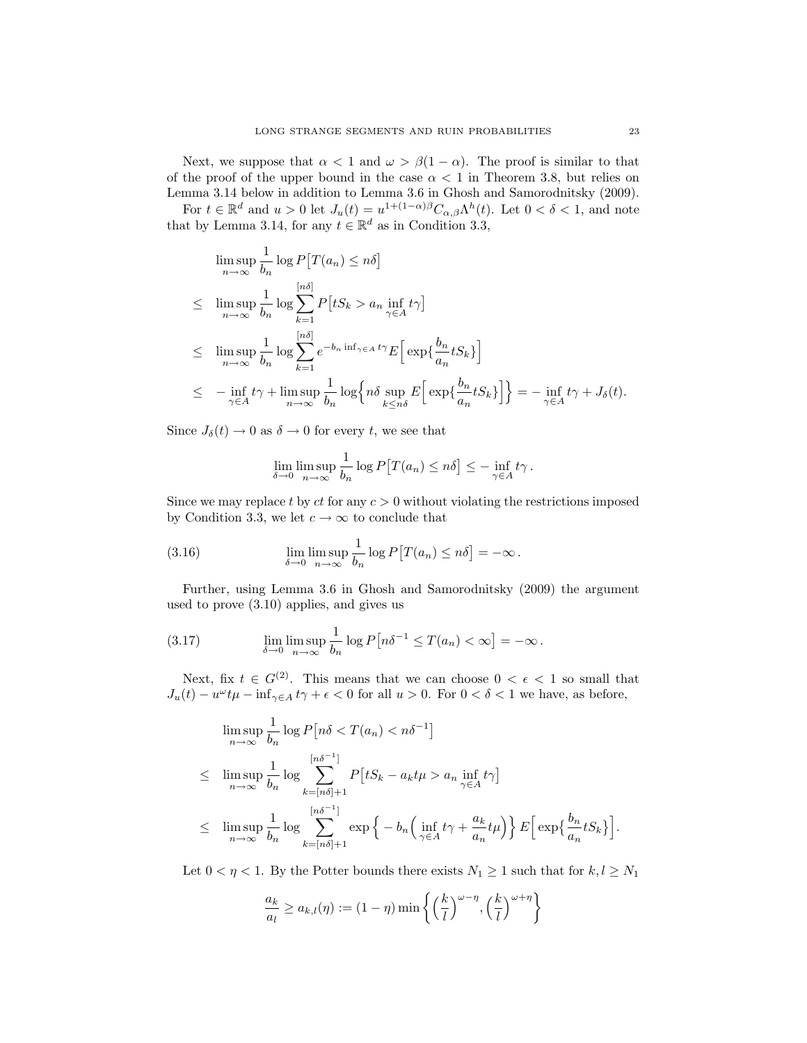Next, we suppose that  $\alpha < 1$  and  $\omega > \beta(1 - \alpha)$ . The proof is similar to that of the proof of the upper bound in the case  $\alpha < 1$  in Theorem 3.8, but relies on Lemma 3.14 below in addition to Lemma 3.6 in Ghosh and Samorodnitsky (2009).

For  $t \in \mathbb{R}^d$  and  $u > 0$  let  $J_u(t) = u^{1+(1-\alpha)\beta} C_{\alpha,\beta} \Lambda^h(t)$ . Let  $0 < \delta < 1$ , and note that by Lemma 3.14, for any  $t \in \mathbb{R}^d$  as in Condition 3.3,

$$
\limsup_{n \to \infty} \frac{1}{b_n} \log P[T(a_n) \le n\delta]
$$
\n
$$
\le \limsup_{n \to \infty} \frac{1}{b_n} \log \sum_{k=1}^{[n\delta]} P[tS_k > a_n \inf_{\gamma \in A} t\gamma]
$$
\n
$$
\le \limsup_{n \to \infty} \frac{1}{b_n} \log \sum_{k=1}^{[n\delta]} e^{-b_n \inf_{\gamma \in A} t\gamma} E\Big[\exp\{\frac{b_n}{a_n} tS_k\}\Big]
$$
\n
$$
\le - \inf_{\gamma \in A} t\gamma + \limsup_{n \to \infty} \frac{1}{b_n} \log \Big\{ n\delta \sup_{k \le n\delta} E\Big[\exp\{\frac{b_n}{a_n} tS_k\}\Big] \Big\} = - \inf_{\gamma \in A} t\gamma + J_\delta(t).
$$

Since  $J_{\delta}(t) \rightarrow 0$  as  $\delta \rightarrow 0$  for every t, we see that

$$
\lim_{\delta \to 0} \limsup_{n \to \infty} \frac{1}{b_n} \log P[T(a_n) \leq n\delta] \leq - \inf_{\gamma \in A} t\gamma.
$$

Since we may replace t by ct for any  $c > 0$  without violating the restrictions imposed by Condition 3.3, we let  $c \to \infty$  to conclude that

(3.16) 
$$
\lim_{\delta \to 0} \limsup_{n \to \infty} \frac{1}{b_n} \log P[T(a_n) \leq n\delta] = -\infty.
$$

Further, using Lemma 3.6 in Ghosh and Samorodnitsky (2009) the argument used to prove (3.10) applies, and gives us

(3.17) 
$$
\lim_{\delta \to 0} \limsup_{n \to \infty} \frac{1}{b_n} \log P[n\delta^{-1} \le T(a_n) < \infty] = -\infty.
$$

Next, fix  $t \in G^{(2)}$ . This means that we can choose  $0 < \epsilon < 1$  so small that  $J_u(t) - u^{\omega} t \mu - \inf_{\gamma \in A} t \gamma + \epsilon < 0$  for all  $u > 0$ . For  $0 < \delta < 1$  we have, as before,

$$
\limsup_{n \to \infty} \frac{1}{b_n} \log P[n\delta < T(a_n) < n\delta^{-1}]
$$
\n
$$
\leq \limsup_{n \to \infty} \frac{1}{b_n} \log \sum_{k=[n\delta]+1}^{[n\delta^{-1}]} P[tS_k - a_k t\mu > a_n \inf_{\gamma \in A} t\gamma]
$$
\n
$$
\leq \limsup_{n \to \infty} \frac{1}{b_n} \log \sum_{k=[n\delta]+1}^{[n\delta^{-1}]} \exp \left\{-b_n \left(\inf_{\gamma \in A} t\gamma + \frac{a_k}{a_n} t\mu\right)\right\} E\Big[\exp\big\{\frac{b_n}{a_n} tS_k\big\}\Big].
$$

Let  $0<\eta<1.$  By the Potter bounds there exists  $N_1\geq 1$  such that for  $k,l\geq N_1$ 

$$
\frac{a_k}{a_l} \ge a_{k,l}(\eta) := (1 - \eta) \min \left\{ \left(\frac{k}{l}\right)^{\omega - \eta}, \left(\frac{k}{l}\right)^{\omega + \eta} \right\}
$$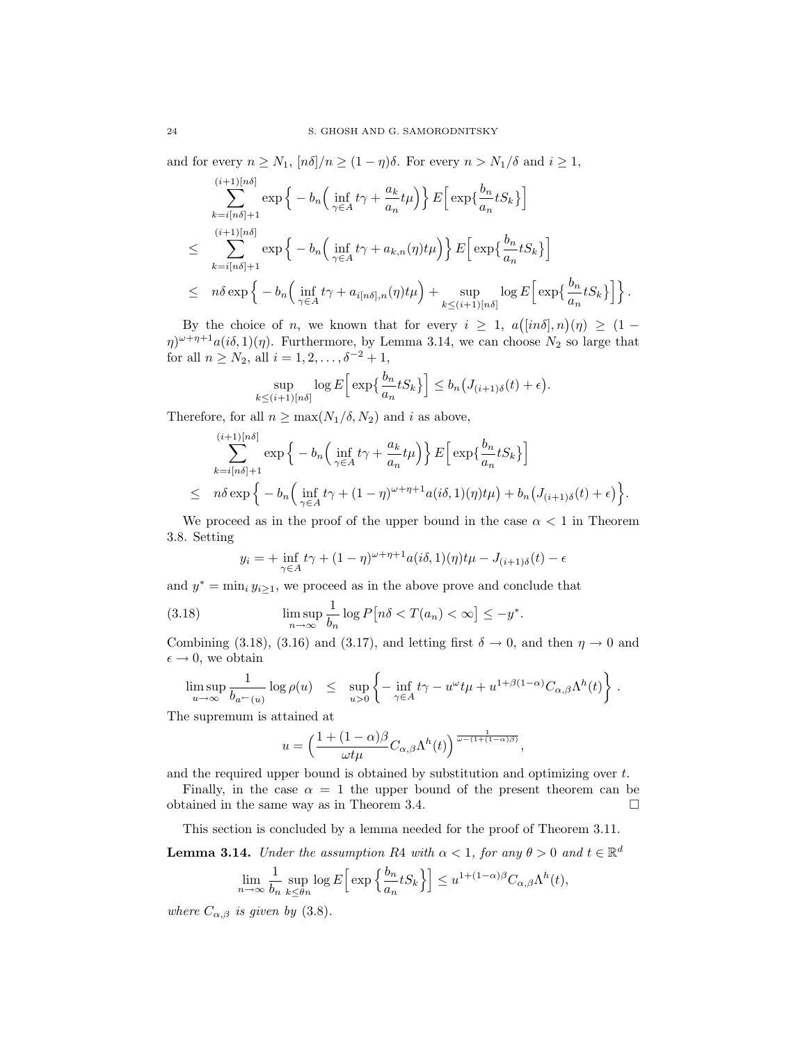and for every  $n \geq N_1$ ,  $[n\delta]/n \geq (1 - \eta)\delta$ . For every  $n > N_1/\delta$  and  $i \geq 1$ ,

$$
\sum_{k=i[n\delta]+1}^{(i+1)[n\delta]} \exp\left\{-b_n\Big(\inf_{\gamma\in A} t\gamma + \frac{a_k}{a_n}t\mu\Big)\right\} E\Big[\exp\{\frac{b_n}{a_n}tS_k\}\Big]
$$
  

$$
\leq \sum_{k=i[n\delta]+1}^{(i+1)[n\delta]} \exp\Big\{-b_n\Big(\inf_{\gamma\in A} t\gamma + a_{k,n}(\eta)t\mu\Big)\Big\} E\Big[\exp\{\frac{b_n}{a_n}tS_k\}\Big]
$$
  

$$
\leq n\delta \exp\Big\{-b_n\Big(\inf_{\gamma\in A} t\gamma + a_{i[n\delta],n}(\eta)t\mu\Big) + \sup_{k\leq (i+1)[n\delta]} \log E\Big[\exp\{\frac{b_n}{a_n}tS_k\}\Big]\Big\}.
$$

By the choice of n, we known that for every  $i \geq 1$ ,  $a(\lfloor in\delta \rfloor, n)(\eta) \geq (1-\eta)$  $(\eta)^{\omega+\eta+1}a(i\delta,1)(\eta)$ . Furthermore, by Lemma 3.14, we can choose  $N_2$  so large that for all  $n \geq N_2$ , all  $i = 1, 2, ..., \delta^{-2} + 1$ ,

$$
\sup_{k \le (i+1)[n\delta]} \log E\Big[\exp\Big\{\frac{b_n}{a_n}tS_k\Big\}\Big] \le b_n(J_{(i+1)\delta}(t)+\epsilon).
$$

Therefore, for all  $n \geq \max(N_1/\delta, N_2)$  and i as above,

$$
\sum_{k=i[n\delta]+1}^{(i+1)[n\delta]} \exp\Big\{-b_n\Big(\inf_{\gamma\in A} t\gamma + \frac{a_k}{a_n}t\mu\Big)\Big\} E\Big[\exp\{\frac{b_n}{a_n}tS_k\}\Big]
$$
  

$$
\leq n\delta \exp\Big\{-b_n\Big(\inf_{\gamma\in A} t\gamma + (1-\eta)^{\omega+\eta+1}a(i\delta,1)(\eta)t\mu\Big) + b_n\big(J_{(i+1)\delta}(t)+\epsilon\big)\Big\}.
$$

We proceed as in the proof of the upper bound in the case  $\alpha < 1$  in Theorem 3.8. Setting

$$
y_i = + \inf_{\gamma \in A} t\gamma + (1 - \eta)^{\omega + \eta + 1} a(i\delta, 1)(\eta) t\mu - J_{(i+1)\delta}(t) - \epsilon
$$

and  $y^* = \min_i y_i \geq 1$ , we proceed as in the above prove and conclude that

(3.18) 
$$
\limsup_{n \to \infty} \frac{1}{b_n} \log P[n\delta < T(a_n) < \infty] \leq -y^*.
$$

Combining (3.18), (3.16) and (3.17), and letting first  $\delta \to 0$ , and then  $\eta \to 0$  and  $\epsilon \to 0$ , we obtain

$$
\limsup_{u\to\infty}\frac{1}{b_{a^-(u)}}\log\rho(u) \ \leq \ \ \sup_{u>0}\left\{-\inf_{\gamma\in A}t\gamma-u^\omega t\mu+u^{1+\beta(1-\alpha)}C_{\alpha,\beta}\Lambda^h(t)\right\}\,.
$$

The supremum is attained at

$$
u = \left(\frac{1 + (1 - \alpha)\beta}{\omega t \mu} C_{\alpha,\beta} \Lambda^h(t)\right)^{\frac{1}{\omega - (1 + (1 - \alpha)\beta)}},
$$

and the required upper bound is obtained by substitution and optimizing over  $t$ .

Finally, in the case  $\alpha = 1$  the upper bound of the present theorem can be obtained in the same way as in Theorem 3.4.

This section is concluded by a lemma needed for the proof of Theorem 3.11.

**Lemma 3.14.** Under the assumption R4 with  $\alpha < 1$ , for any  $\theta > 0$  and  $t \in \mathbb{R}^d$ 

$$
\lim_{n \to \infty} \frac{1}{b_n} \sup_{k \le \theta n} \log E \Big[ \exp \Big\{ \frac{b_n}{a_n} t S_k \Big\} \Big] \le u^{1 + (1 - \alpha) \beta} C_{\alpha, \beta} \Lambda^h(t),
$$

where  $C_{\alpha,\beta}$  is given by (3.8).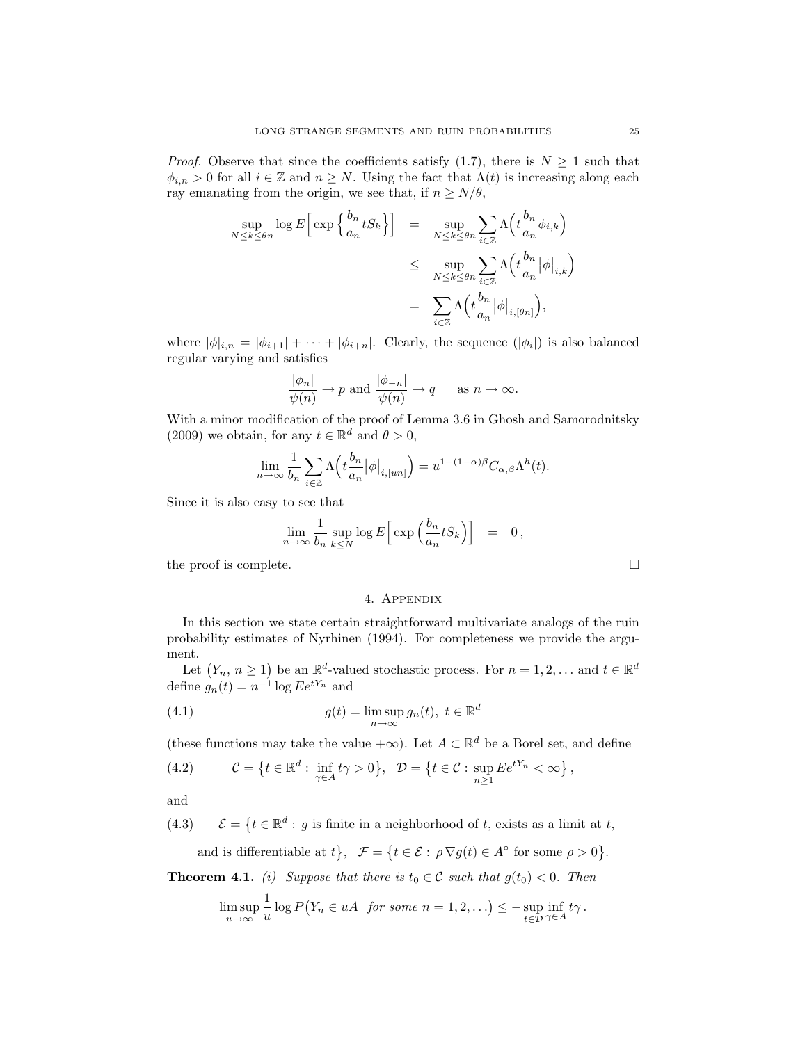*Proof.* Observe that since the coefficients satisfy (1.7), there is  $N \geq 1$  such that  $\phi_{i,n} > 0$  for all  $i \in \mathbb{Z}$  and  $n \geq N$ . Using the fact that  $\Lambda(t)$  is increasing along each ray emanating from the origin, we see that, if  $n \geq N/\theta$ ,

$$
\sup_{N \le k \le \theta n} \log E \Big[ \exp \Big\{ \frac{b_n}{a_n} t S_k \Big\} \Big] = \sup_{N \le k \le \theta n} \sum_{i \in \mathbb{Z}} \Lambda \Big( t \frac{b_n}{a_n} \phi_{i,k} \Big)
$$
  

$$
\le \sup_{N \le k \le \theta n} \sum_{i \in \mathbb{Z}} \Lambda \Big( t \frac{b_n}{a_n} |\phi|_{i,k} \Big)
$$
  

$$
= \sum_{i \in \mathbb{Z}} \Lambda \Big( t \frac{b_n}{a_n} |\phi|_{i,[\theta n]} \Big),
$$

where  $|\phi|_{i,n} = |\phi_{i+1}| + \cdots + |\phi_{i+n}|$ . Clearly, the sequence  $(|\phi_i|)$  is also balanced regular varying and satisfies

$$
\frac{|\phi_n|}{\psi(n)} \to p \text{ and } \frac{|\phi_{-n}|}{\psi(n)} \to q \quad \text{ as } n \to \infty.
$$

With a minor modification of the proof of Lemma 3.6 in Ghosh and Samorodnitsky (2009) we obtain, for any  $t \in \mathbb{R}^d$  and  $\theta > 0$ ,

$$
\lim_{n \to \infty} \frac{1}{b_n} \sum_{i \in \mathbb{Z}} \Lambda \left( t \frac{b_n}{a_n} |\phi|_{i,[un]} \right) = u^{1 + (1 - \alpha)\beta} C_{\alpha,\beta} \Lambda^h(t).
$$

Since it is also easy to see that

$$
\lim_{n \to \infty} \frac{1}{b_n} \sup_{k \le N} \log E \Big[ \exp \Big( \frac{b_n}{a_n} t S_k \Big) \Big] = 0,
$$

the proof is complete.

### 4. Appendix

In this section we state certain straightforward multivariate analogs of the ruin probability estimates of Nyrhinen (1994). For completeness we provide the argument.

Let  $(Y_n, n \geq 1)$  be an  $\mathbb{R}^d$ -valued stochastic process. For  $n = 1, 2, ...$  and  $t \in \mathbb{R}^d$ define  $g_n(t) = n^{-1} \log E e^{tY_n}$  and

(4.1) 
$$
g(t) = \limsup_{n \to \infty} g_n(t), \ t \in \mathbb{R}^d
$$

(these functions may take the value  $+\infty$ ). Let  $A \subset \mathbb{R}^d$  be a Borel set, and define

(4.2) 
$$
\mathcal{C} = \left\{ t \in \mathbb{R}^d : \inf_{\gamma \in A} t\gamma > 0 \right\}, \quad \mathcal{D} = \left\{ t \in \mathcal{C} : \sup_{n \ge 1} E e^{tY_n} < \infty \right\},
$$

and

 $(4.3)$  $\{t \in \mathbb{R}^d : g \text{ is finite in a neighborhood of } t, \text{ exists as a limit at } t, \}$ 

and is differentiable at  $t\}$ ,  $\mathcal{F} = \{t \in \mathcal{E} : \rho \nabla g(t) \in A^{\circ} \text{ for some } \rho > 0\}$ .

**Theorem 4.1.** (i) Suppose that there is  $t_0 \in \mathcal{C}$  such that  $g(t_0) < 0$ . Then

$$
\limsup_{u \to \infty} \frac{1}{u} \log P(Y_n \in uA \text{ for some } n = 1, 2, \ldots) \leq -\sup_{t \in \mathcal{D}} \inf_{\gamma \in A} t_{\gamma}.
$$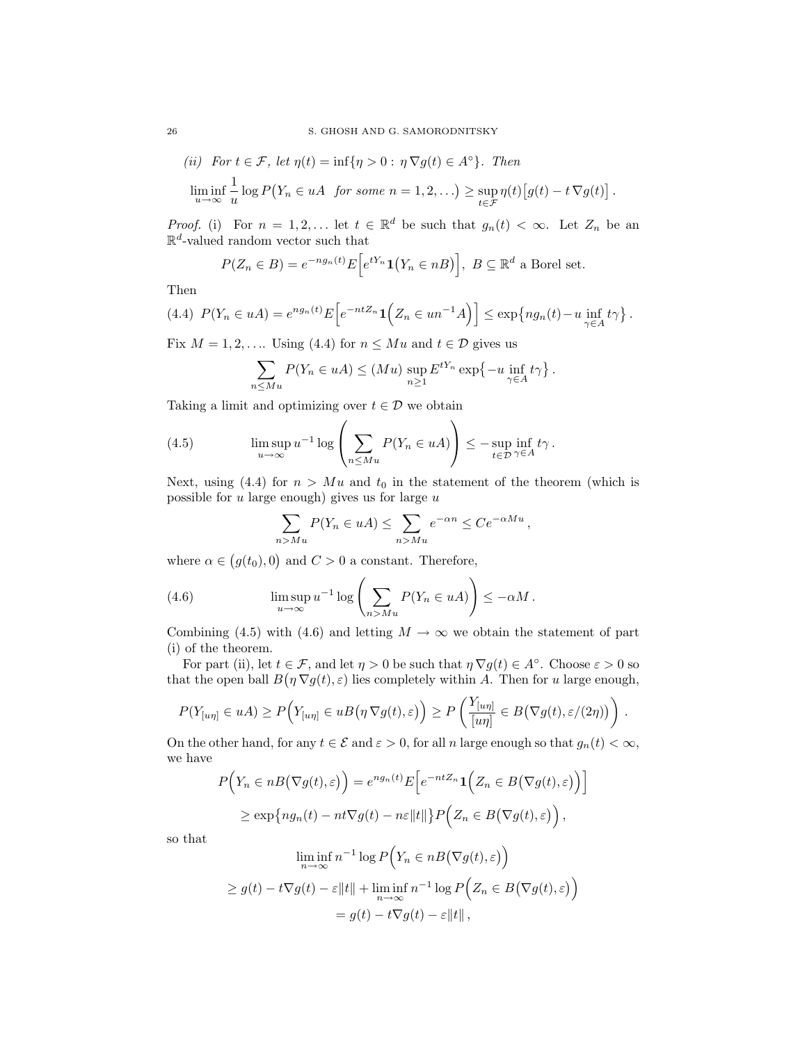(ii) For 
$$
t \in \mathcal{F}
$$
, let  $\eta(t) = \inf\{\eta > 0 : \eta \nabla g(t) \in A^{\circ}\}\)$ . Then  

$$
\liminf_{u \to \infty} \frac{1}{u} \log P(Y_n \in uA \text{ for some } n = 1, 2, ...)\ge \sup_{t \in \mathcal{F}} \eta(t) [g(t) - t \nabla g(t)].
$$

*Proof.* (i) For  $n = 1, 2, \ldots$  let  $t \in \mathbb{R}^d$  be such that  $g_n(t) < \infty$ . Let  $Z_n$  be an  $\mathbb{R}^d$ -valued random vector such that

$$
P(Z_n \in B) = e^{-ng_n(t)} E\Big[e^{tY_n} \mathbf{1}(Y_n \in nB)\Big], B \subseteq \mathbb{R}^d \text{ a Borel set.}
$$

Then

$$
(4.4) P(Y_n \in uA) = e^{ng_n(t)} E\Big[e^{-ntZ_n}\mathbf{1}\Big(Z_n \in un^{-1}A\Big)\Big] \leq \exp\big\{ng_n(t) - u \inf_{\gamma \in A} t\gamma\big\}\,.
$$

Fix  $M = 1, 2, \dots$  Using (4.4) for  $n \leq M u$  and  $t \in \mathcal{D}$  gives us

$$
\sum_{n \leq Mu} P(Y_n \in uA) \leq (Mu) \sup_{n \geq 1} E^{tY_n} \exp\{-u \inf_{\gamma \in A} t\gamma\}.
$$

Taking a limit and optimizing over  $t \in \mathcal{D}$  we obtain

(4.5) 
$$
\limsup_{u \to \infty} u^{-1} \log \left( \sum_{n \leq Mu} P(Y_n \in uA) \right) \leq - \sup_{t \in \mathcal{D}} \inf_{\gamma \in A} t \gamma.
$$

Next, using (4.4) for  $n > M u$  and  $t_0$  in the statement of the theorem (which is possible for  $u$  large enough) gives us for large  $u$ 

$$
\sum_{n>Mu} P(Y_n \in uA) \le \sum_{n>Mu} e^{-\alpha n} \le Ce^{-\alpha Mu},
$$

where  $\alpha \in (g(t_0), 0)$  and  $C > 0$  a constant. Therefore,

(4.6) 
$$
\limsup_{u \to \infty} u^{-1} \log \left( \sum_{n > Mu} P(Y_n \in uA) \right) \leq -\alpha M.
$$

Combining (4.5) with (4.6) and letting  $M \to \infty$  we obtain the statement of part (i) of the theorem.

For part (ii), let  $t \in \mathcal{F}$ , and let  $\eta > 0$  be such that  $\eta \nabla g(t) \in A^{\circ}$ . Choose  $\varepsilon > 0$  so that the open ball  $B(\eta \nabla g(t), \varepsilon)$  lies completely within A. Then for u large enough,

$$
P(Y_{[u\eta]} \in uA) \ge P(Y_{[u\eta]} \in uB(\eta \nabla g(t), \varepsilon)) \ge P\left(\frac{Y_{[u\eta]}}{[u\eta]} \in B(\nabla g(t), \varepsilon/(2\eta))\right).
$$

On the other hand, for any  $t \in \mathcal{E}$  and  $\varepsilon > 0$ , for all n large enough so that  $g_n(t) < \infty$ , we have

$$
P\Big(Y_n \in nB\big(\nabla g(t), \varepsilon\big)\Big) = e^{ng_n(t)} E\Big[e^{-ntZ_n}\mathbf{1}\Big(Z_n \in B\big(\nabla g(t), \varepsilon\big)\Big)\Big]
$$
  

$$
\geq \exp\{ng_n(t) - nt\nabla g(t) - n\varepsilon\|t\|\} P\Big(Z_n \in B\big(\nabla g(t), \varepsilon\big)\Big),
$$

so that

$$
\liminf_{n \to \infty} n^{-1} \log P\Big(Y_n \in n(\nabla g(t), \varepsilon)\Big)
$$
  
\n
$$
\geq g(t) - t \nabla g(t) - \varepsilon ||t|| + \liminf_{n \to \infty} n^{-1} \log P\Big(Z_n \in B(\nabla g(t), \varepsilon)\Big)
$$
  
\n
$$
= g(t) - t \nabla g(t) - \varepsilon ||t||,
$$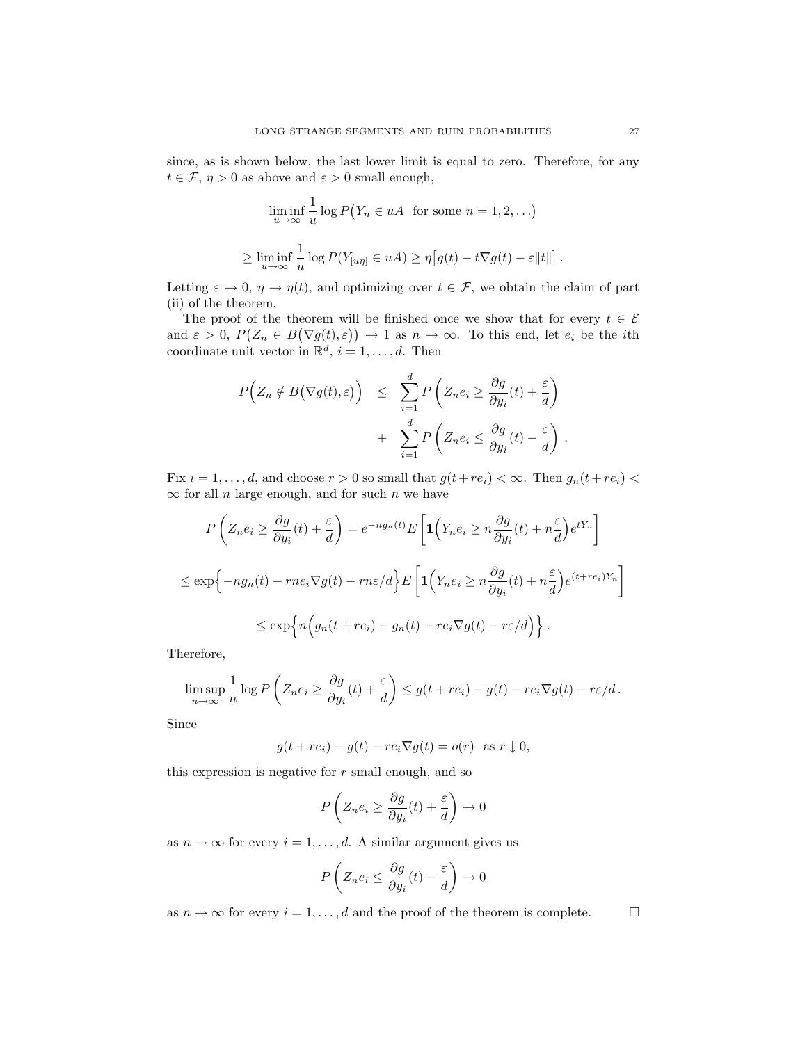since, as is shown below, the last lower limit is equal to zero. Therefore, for any  $t \in \mathcal{F}, \eta > 0$  as above and  $\varepsilon > 0$  small enough,

$$
\liminf_{u \to \infty} \frac{1}{u} \log P(Y_n \in uA \text{ for some } n = 1, 2, ...)
$$

$$
\geq \liminf_{u \to \infty} \frac{1}{u} \log P(Y_{[u\eta]} \in uA) \geq \eta \big[g(t) - t\nabla g(t) - \varepsilon ||t||\big]
$$

Letting  $\varepsilon \to 0$ ,  $\eta \to \eta(t)$ , and optimizing over  $t \in \mathcal{F}$ , we obtain the claim of part (ii) of the theorem.

The proof of the theorem will be finished once we show that for every  $t \in \mathcal{E}$ and  $\varepsilon > 0$ ,  $P(Z_n \in B(\nabla g(t), \varepsilon)) \to 1$  as  $n \to \infty$ . To this end, let  $e_i$  be the *i*th coordinate unit vector in  $\mathbb{R}^d$ ,  $i = 1, \ldots, d$ . Then

$$
P(Z_n \notin B(\nabla g(t), \varepsilon)) \leq \sum_{i=1}^d P\left(Z_n e_i \geq \frac{\partial g}{\partial y_i}(t) + \frac{\varepsilon}{d}\right) + \sum_{i=1}^d P\left(Z_n e_i \leq \frac{\partial g}{\partial y_i}(t) - \frac{\varepsilon}{d}\right).
$$

Fix  $i = 1, \ldots, d$ , and choose  $r > 0$  so small that  $g(t + re_i) < \infty$ . Then  $g_n(t + re_i) <$  $\infty$  for all *n* large enough, and for such *n* we have

$$
P\left(Z_n e_i \ge \frac{\partial g}{\partial y_i}(t) + \frac{\varepsilon}{d}\right) = e^{-ng_n(t)} E\left[\mathbf{1}\Big(Y_n e_i \ge n\frac{\partial g}{\partial y_i}(t) + n\frac{\varepsilon}{d}\Big)e^{tY_n}\right]
$$
  

$$
\le \exp\left\{-ng_n(t) - rne_i\nabla g(t) - rne_i/d\right\} E\left[\mathbf{1}\Big(Y_n e_i \ge n\frac{\partial g}{\partial y_i}(t) + n\frac{\varepsilon}{d}\Big)e^{(t+re_i)Y_n}\right]
$$
  

$$
\le \exp\left\{n\Big(g_n(t+re_i) - g_n(t) - re_i\nabla g(t) - r\varepsilon/d\Big)\right\}.
$$

Therefore,

$$
\limsup_{n \to \infty} \frac{1}{n} \log P \left( Z_n e_i \ge \frac{\partial g}{\partial y_i}(t) + \frac{\varepsilon}{d} \right) \le g(t + re_i) - g(t) - re_i \nabla g(t) - r\varepsilon/d.
$$

Since

$$
g(t + re_i) - g(t) - re_i \nabla g(t) = o(r) \text{ as } r \downarrow 0,
$$

this expression is negative for  $r$  small enough, and so

$$
P\left(Z_n e_i \ge \frac{\partial g}{\partial y_i}(t) + \frac{\varepsilon}{d}\right) \to 0
$$

as  $n \to \infty$  for every  $i = 1, \ldots, d$ . A similar argument gives us

$$
P\left(Z_n e_i \le \frac{\partial g}{\partial y_i}(t) - \frac{\varepsilon}{d}\right) \to 0
$$

as  $n \to \infty$  for every  $i = 1, ..., d$  and the proof of the theorem is complete.  $\Box$ 

.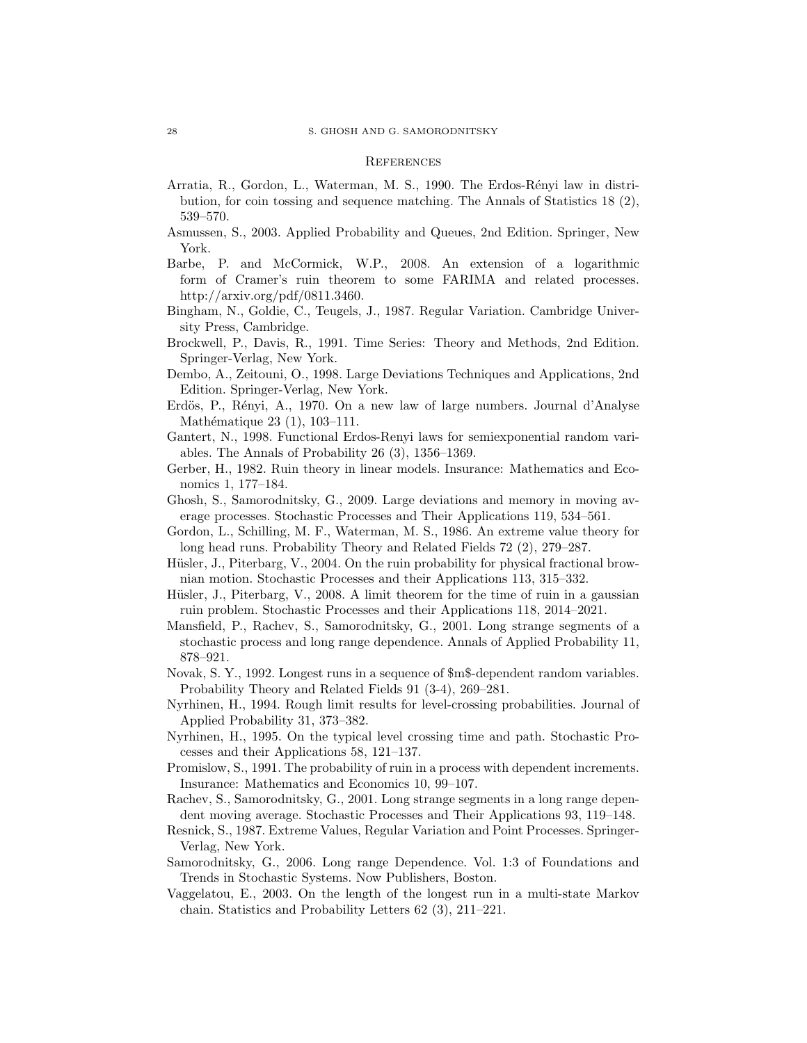#### **REFERENCES**

- Arratia, R., Gordon, L., Waterman, M. S., 1990. The Erdos-Rényi law in distribution, for coin tossing and sequence matching. The Annals of Statistics 18 (2), 539–570.
- Asmussen, S., 2003. Applied Probability and Queues, 2nd Edition. Springer, New York.
- Barbe, P. and McCormick, W.P., 2008. An extension of a logarithmic form of Cramer's ruin theorem to some FARIMA and related processes. http://arxiv.org/pdf/0811.3460.
- Bingham, N., Goldie, C., Teugels, J., 1987. Regular Variation. Cambridge University Press, Cambridge.
- Brockwell, P., Davis, R., 1991. Time Series: Theory and Methods, 2nd Edition. Springer-Verlag, New York.
- Dembo, A., Zeitouni, O., 1998. Large Deviations Techniques and Applications, 2nd Edition. Springer-Verlag, New York.
- Erdös, P., Rényi, A., 1970. On a new law of large numbers. Journal d'Analyse Mathématique 23 (1), 103-111.
- Gantert, N., 1998. Functional Erdos-Renyi laws for semiexponential random variables. The Annals of Probability 26 (3), 1356–1369.
- Gerber, H., 1982. Ruin theory in linear models. Insurance: Mathematics and Economics 1, 177–184.
- Ghosh, S., Samorodnitsky, G., 2009. Large deviations and memory in moving average processes. Stochastic Processes and Their Applications 119, 534–561.
- Gordon, L., Schilling, M. F., Waterman, M. S., 1986. An extreme value theory for long head runs. Probability Theory and Related Fields 72 (2), 279–287.
- Hüsler, J., Piterbarg, V., 2004. On the ruin probability for physical fractional brownian motion. Stochastic Processes and their Applications 113, 315–332.
- Hüsler, J., Piterbarg, V., 2008. A limit theorem for the time of ruin in a gaussian ruin problem. Stochastic Processes and their Applications 118, 2014–2021.
- Mansfield, P., Rachev, S., Samorodnitsky, G., 2001. Long strange segments of a stochastic process and long range dependence. Annals of Applied Probability 11, 878–921.
- Novak, S. Y., 1992. Longest runs in a sequence of \$m\$-dependent random variables. Probability Theory and Related Fields 91 (3-4), 269–281.
- Nyrhinen, H., 1994. Rough limit results for level-crossing probabilities. Journal of Applied Probability 31, 373–382.
- Nyrhinen, H., 1995. On the typical level crossing time and path. Stochastic Processes and their Applications 58, 121–137.
- Promislow, S., 1991. The probability of ruin in a process with dependent increments. Insurance: Mathematics and Economics 10, 99–107.
- Rachev, S., Samorodnitsky, G., 2001. Long strange segments in a long range dependent moving average. Stochastic Processes and Their Applications 93, 119–148.
- Resnick, S., 1987. Extreme Values, Regular Variation and Point Processes. Springer-Verlag, New York.
- Samorodnitsky, G., 2006. Long range Dependence. Vol. 1:3 of Foundations and Trends in Stochastic Systems. Now Publishers, Boston.
- Vaggelatou, E., 2003. On the length of the longest run in a multi-state Markov chain. Statistics and Probability Letters 62 (3), 211–221.